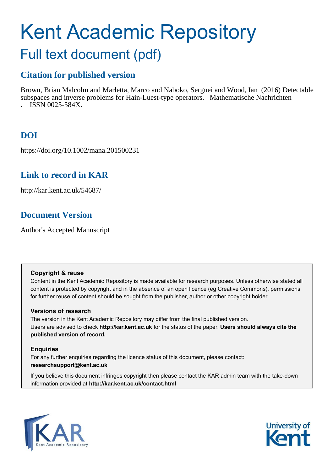# Kent Academic Repository

# Full text document (pdf)

# **Citation for published version**

Brown, Brian Malcolm and Marletta, Marco and Naboko, Serguei and Wood, Ian (2016) Detectable subspaces and inverse problems for Hain-Luest-type operators. Mathematische Nachrichten . ISSN 0025-584X.

# **DOI**

https://doi.org/10.1002/mana.201500231

# **Link to record in KAR**

http://kar.kent.ac.uk/54687/

# **Document Version**

Author's Accepted Manuscript

## **Copyright & reuse**

Content in the Kent Academic Repository is made available for research purposes. Unless otherwise stated all content is protected by copyright and in the absence of an open licence (eg Creative Commons), permissions for further reuse of content should be sought from the publisher, author or other copyright holder.

## **Versions of research**

The version in the Kent Academic Repository may differ from the final published version. Users are advised to check **http://kar.kent.ac.uk** for the status of the paper. **Users should always cite the published version of record.**

## **Enquiries**

For any further enquiries regarding the licence status of this document, please contact: **researchsupport@kent.ac.uk**

If you believe this document infringes copyright then please contact the KAR admin team with the take-down information provided at **http://kar.kent.ac.uk/contact.html**



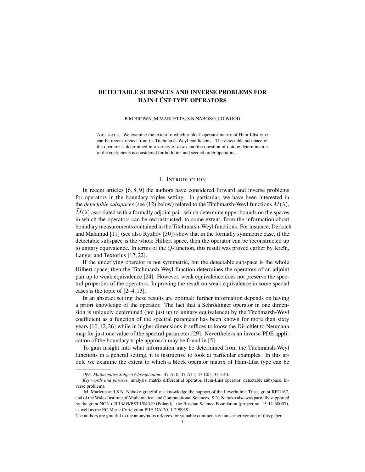### DETECTABLE SUBSPACES AND INVERSE PROBLEMS FOR HAIN-LÜST-TYPE OPERATORS

B.M.BROWN, M.MARLETTA, S.N.NABOKO, I.G.WOOD

ABSTRACT. We examine the extent to which a block operator matrix of Hain-Lüst type can be reconstructed from its Titchmarsh-Weyl coefficients. The detectable subspace of the operator is determined in a variety of cases and the question of unique determination of the coefficients is considered for both first and second order operators.

#### 1. INTRODUCTION

In recent articles [6, 8, 9] the authors have considered forward and inverse problems for operators in the boundary triples setting. In particular, we have been interested in the *detectable subspaces* (see (12) below) related to the Titchmarsh-Weyl functions  $M(\lambda)$ ,  $M(\lambda)$  associated with a formally adjoint pair, which determine upper bounds on the spaces in which the operators can be reconstructed, to some extent, from the information about boundary measurements contained in the Titchmarsh-Weyl functions. For instance, Derkach and Malamud [11] (see also Ryzhov [30]) show that in the formally symmetric case, if the detectable subspace is the whole Hilbert space, then the operator can be reconstructed up to unitary equivalence. In terms of the  $Q$ -function, this result was proved earlier by Kreĭn, Langer and Textorius [17, 22].

If the underlying operator is not symmetric, but the detectable subspace is the whole Hilbert space, then the Titchmarsh-Weyl function determines the operators of an adjoint pair up to weak equivalence [24]. However, weak equivalence does not preserve the spectral properties of the operators. Improving the result on weak equivalence in some special cases is the topic of [2–4, 13].

In an abstract setting these results are optimal: further information depends on having a priori knowledge of the operator. The fact that a Schrödinger operator in one dimension is uniquely determined (not just up to unitary equivalence) by the Titchmarsh-Weyl coefficient as a function of the spectral parameter has been known for more than sixty years [10, 12, 26] while in higher dimensions it suffices to know the Dirichlet to Neumann map for just one value of the spectral parameter [29]. Nevertheless an inverse-PDE application of the boundary triple approach may be found in [5].

To gain insight into what information may be determined from the Titchmarsh-Weyl functions in a general setting, it is instructive to look at particular examples. In this article we examine the extent to which a block operator matrix of Hain-Lüst type can be

<sup>1991</sup> *Mathematics Subject Classification.* 47-A10, 47-A11, 47-E05, 34-L40.

*Key words and phrases.* analysis, matrix differential operator, Hain-Lüst operator, detectable subspace, inverse problems.

M. Marletta and S.N. Naboko gratefully acknowledge the support of the Leverhulme Trust, grant RPG167, and of the Wales Institute of Mathematical and Computational Sciences. S.N. Naboko also was partially supported by the grant NCN t 2013/09/BST1/04319 (Poland), the Russian Science Foundation (project no. 15-11-30007), as well as the EC Marie Curie grant PIIF-GA-2011-299919.

The authors are grateful to the anonymous referees for valuable comments on an earlier version of this paper.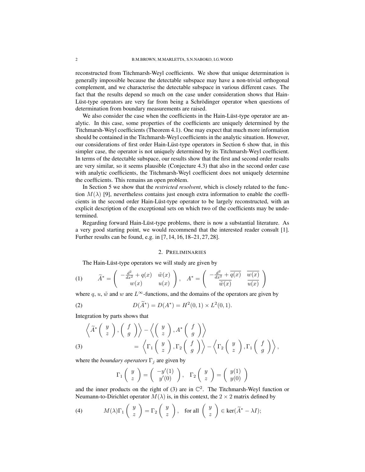reconstructed from Titchmarsh-Weyl coefficients. We show that unique determination is generally impossible because the detectable subspace may have a non-trivial orthogonal complement, and we characterise the detectable subspace in various different cases. The fact that the results depend so much on the case under consideration shows that Hain-Lüst-type operators are very far from being a Schrödinger operator when questions of determination from boundary measurements are raised.

We also consider the case when the coefficients in the Hain-Lüst-type operator are analytic. In this case, some properties of the coefficients are uniquely determined by the Titchmarsh-Weyl coefficients (Theorem 4.1). One may expect that much more information should be contained in the Titchmarsh-Weyl coefficients in the analytic situation. However, our considerations of first order Hain-Lüst-type operators in Section 6 show that, in this simpler case, the operator is not uniquely determined by its Titchmarsh-Weyl coefficient. In terms of the detectable subspace, our results show that the first and second order results are very similar, so it seems plausible (Conjecture 4.3) that also in the second order case with analytic coefficients, the Titchmarsh-Weyl coefficient does not uniquely determine the coefficients. This remains an open problem.

In Section 5 we show that the *restricted resolvent*, which is closely related to the function  $M(\lambda)$  [9], nevertheless contains just enough extra information to enable the coefficients in the second order Hain-Lüst-type operator to be largely reconstructed, with an explicit description of the exceptional sets on which two of the coefficients may be undetermined.

Regarding forward Hain-Lüst-type problems, there is now a substantial literature. As a very good starting point, we would recommend that the interested reader consult [1]. Further results can be found, e.g. in [7, 14, 16, 18–21, 27, 28].

#### 2. PRELIMINARIES

The Hain-Lüst-type operators we will study are given by

(1) 
$$
\widetilde{A}^* = \begin{pmatrix} -\frac{d^2}{dx^2} + q(x) & \tilde{w}(x) \\ w(x) & u(x) \end{pmatrix}, \quad A^* = \begin{pmatrix} -\frac{d^2}{dx^2} + \overline{q(x)} & \overline{w(x)} \\ \overline{\tilde{w}(x)} & \overline{u(x)} \end{pmatrix}
$$

where q, u,  $\tilde{w}$  and w are  $L^{\infty}$ -functions, and the domains of the operators are given by

(2) 
$$
D(\widetilde{A}^*) = D(A^*) = H^2(0,1) \times L^2(0,1).
$$

Integration by parts shows that

$$
\left\langle \widetilde{A}^* \left( \begin{array}{c} y \\ z \end{array} \right), \left( \begin{array}{c} f \\ g \end{array} \right) \right\rangle - \left\langle \left( \begin{array}{c} y \\ z \end{array} \right), A^* \left( \begin{array}{c} f \\ g \end{array} \right) \right\rangle = \left\langle \Gamma_1 \left( \begin{array}{c} y \\ z \end{array} \right), \Gamma_2 \left( \begin{array}{c} f \\ g \end{array} \right) \right\rangle - \left\langle \Gamma_2 \left( \begin{array}{c} y \\ z \end{array} \right), \Gamma_1 \left( \begin{array}{c} f \\ g \end{array} \right) \right\rangle,
$$

where the *boundary operators*  $\Gamma_j$  are given by

$$
\Gamma_1\begin{pmatrix}y\\z\end{pmatrix}=\begin{pmatrix}-y'(1)\\y'(0)\end{pmatrix}, \ \ \Gamma_2\begin{pmatrix}y\\z\end{pmatrix}=\begin{pmatrix}y(1)\\y(0)\end{pmatrix}
$$

and the inner products on the right of (3) are in  $\mathbb{C}^2$ . The Titchmarsh-Weyl function or Neumann-to-Dirichlet operator  $M(\lambda)$  is, in this context, the 2  $\times$  2 matrix defined by

(4) 
$$
M(\lambda)\Gamma_1\begin{pmatrix} y \\ z \end{pmatrix} = \Gamma_2\begin{pmatrix} y \\ z \end{pmatrix}
$$
, for all  $\begin{pmatrix} y \\ z \end{pmatrix} \in \text{ker}(\widetilde{A}^* - \lambda I);$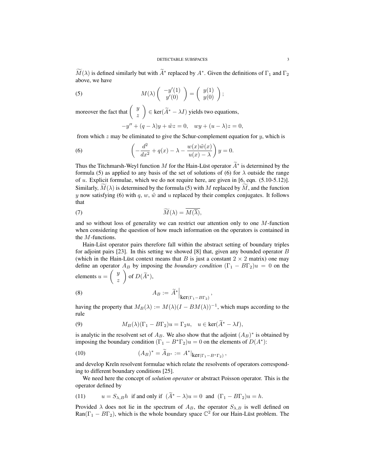$M(\lambda)$  is defined similarly but with  $\overline{A}^*$  replaced by  $A^*$ . Given the definitions of  $\Gamma_1$  and  $\Gamma_2$ above, we have

(5) 
$$
M(\lambda) \begin{pmatrix} -y'(1) \\ y'(0) \end{pmatrix} = \begin{pmatrix} y(1) \\ y(0) \end{pmatrix};
$$

moreover the fact that  $\begin{pmatrix} y \\ y \end{pmatrix}$ z  $\Big) \in \ker(\widetilde{A}^* - \lambda I)$  yields two equations,

$$
-y'' + (q - \lambda)y + \tilde{w}z = 0, \quad wy + (u - \lambda)z = 0,
$$

from which  $z$  may be eliminated to give the Schur-complement equation for  $y$ , which is

(6) 
$$
\left(-\frac{d^2}{dx^2} + q(x) - \lambda - \frac{w(x)\tilde{w}(x)}{u(x) - \lambda}\right)y = 0.
$$

Thus the Titchmarsh-Weyl function M for the Hain-Lüst operator  $A^*$  is determined by the formula (5) as applied to any basis of the set of solutions of (6) for  $\lambda$  outside the range of  $u$ . Explicit formulae, which we do not require here, are given in [6, eqn.  $(5.10-5.12)$ ]. Similarly,  $M(\lambda)$  is determined by the formula (5) with M replaced by M, and the function y now satisfying (6) with q, w,  $\tilde{w}$  and u replaced by their complex conjugates. It follows that

(7) 
$$
\widetilde{M}(\lambda) = M(\overline{\lambda}),
$$

and so without loss of generality we can restrict our attention only to one  $M$ -function when considering the question of how much information on the operators is contained in the M-functions.

Hain-Lüst operator pairs therefore fall within the abstract setting of boundary triples for adjoint pairs [23]. In this setting we showed [8] that, given any bounded operator  $B$ (which in the Hain-Lüst context means that B is just a constant  $2 \times 2$  matrix) one may define an operator  $A_B$  by imposing the *boundary condition*  $(\Gamma_1 - B\Gamma_2)u = 0$  on the elements  $u =$  $\int y$ z  $\Big)$  of  $D(\widetilde{A}^*)$ ,

(8) 
$$
A_B := \widetilde{A}^* \Big|_{\text{ker}(\Gamma_1 - B\Gamma_2)}
$$

having the property that  $M_B(\lambda) := M(\lambda)(I - BM(\lambda))^{-1}$ , which maps according to the rule

,

(9) 
$$
M_B(\lambda)(\Gamma_1 - B\Gamma_2)u = \Gamma_2 u, \quad u \in \text{ker}(\tilde{A}^* - \lambda I),
$$

is analytic in the resolvent set of  $A_B$ . We also show that the adjoint  $(A_B)^*$  is obtained by imposing the boundary condition  $(\Gamma_1 - B^*\Gamma_2)u = 0$  on the elements of  $D(A^*)$ :

(10) 
$$
(A_B)^* = \widetilde{A}_{B^*} := A^*|_{\text{ker}(\Gamma_1 - B^* \Gamma_2)},
$$

and develop Kreĭn resolvent formulae which relate the resolvents of operators corresponding to different boundary conditions [25].

We need here the concept of *solution operator* or abstract Poisson operator. This is the operator defined by

(11) 
$$
u = S_{\lambda,B}h
$$
 if and only if  $(\tilde{A}^* - \lambda)u = 0$  and  $(\Gamma_1 - B\Gamma_2)u = h$ .

Provided  $\lambda$  does not lie in the spectrum of  $A_B$ , the operator  $S_{\lambda,B}$  is well defined on  $\text{Ran}(\Gamma_1 - B\Gamma_2)$ , which is the whole boundary space  $\mathbb{C}^2$  for our Hain-Lüst problem. The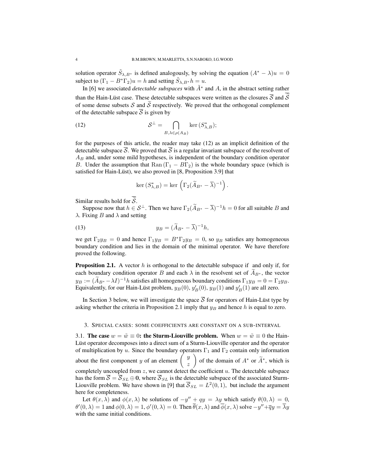solution operator  $\tilde{S}_{\lambda,B^*}$  is defined analogously, by solving the equation  $(A^* - \lambda)u = 0$ subject to  $(\Gamma_1 - B^* \Gamma_2) u = h$  and setting  $\tilde{S}_{\lambda, B^*} h = u$ .

In [6] we associated *detectable subspaces* with  $\tilde{A}^*$  and  $A$ , in the abstract setting rather than the Hain-Lüst case. These detectable subspaces were written as the closures  $\overline{S}$  and  $\widetilde{S}$ of some dense subsets S and  $\tilde{S}$  respectively. We proved that the orthogonal complement of the detectable subspace  $\overline{S}$  is given by

(12) 
$$
\mathcal{S}^{\perp} = \bigcap_{B,\lambda \in \rho(A_B)} \ker (S_{\lambda,B}^*);
$$

for the purposes of this article, the reader may take (12) as an implicit definition of the detectable subspace  $\overline{S}$ . We proved that  $\overline{S}$  is a regular invariant subspace of the resolvent of  $A_B$  and, under some mild hypotheses, is independent of the boundary condition operator B. Under the assumption that Ran  $(\Gamma_1 - BT_2)$  is the whole boundary space (which is satisfied for Hain-Lüst), we also proved in [8, Proposition 3.9] that

$$
\ker\left(S_{\lambda,B}^*\right)=\ker\left(\Gamma_2(\widetilde{A}_{B^*}-\overline{\lambda})^{-1}\right).
$$

Similar results hold for  $\widetilde{\mathcal{S}}$ .

Suppose now that  $h \in S^{\perp}$ . Then we have  $\Gamma_2(A_{B^*} - \overline{\lambda})^{-1}h = 0$  for all suitable B and  $\lambda$ . Fixing B and  $\lambda$  and setting

(13) 
$$
y_B = (\widetilde{A}_{B^*} - \overline{\lambda})^{-1} h,
$$

we get  $\Gamma_2 y_B = 0$  and hence  $\Gamma_1 y_B = B^* \Gamma_2 y_B = 0$ , so  $y_B$  satisfies any homogeneous boundary condition and lies in the domain of the minimal operator. We have therefore proved the following.

**Proposition 2.1.** A vector  $h$  is orthogonal to the detectable subspace if and only if, for each boundary condition operator B and each  $\lambda$  in the resolvent set of  $A_{B^*}$ , the vector  $y_B := (A_{B^*} - \lambda I)^{-1}h$  satisfies all homogeneous boundary conditions  $\Gamma_1 y_B = 0 = \Gamma_2 y_B$ . Equivalently, for our Hain-Lüst problem,  $y_B(0)$ ,  $y'_B(0)$ ,  $y_B(1)$  and  $y'_B(1)$  are all zero.

In Section 3 below, we will investigate the space  $\overline{S}$  for operators of Hain-Lüst type by asking whether the criteria in Proposition 2.1 imply that  $y_B$  and hence h is equal to zero.

#### 3. SPECIAL CASES: SOME COEFFICIENTS ARE CONSTANT ON A SUB-INTERVAL

3.1. The case  $w = \tilde{w} \equiv 0$ : the Sturm-Liouville problem. When  $w = \tilde{w} \equiv 0$  the Hain-Lust operator decomposes into a direct sum of a Sturm-Liouville operator and the operator of multiplication by u. Since the boundary operators  $\Gamma_1$  and  $\Gamma_2$  contain only information about the first component y of an element  $\left( \begin{array}{c} y \\ z \end{array} \right)$ z of the domain of  $A^*$  or  $\widetilde{A}^*$ , which is completely uncoupled from  $z$ , we cannot detect the coefficient  $u$ . The detectable subspace has the form  $\overline{S} = \overline{S}_{SL} \oplus 0$ , where  $\overline{S}_{SL}$  is the detectable subspace of the associated Sturm-Liouville problem. We have shown in [9] that  $\overline{S}_{SL} = L^2(0,1)$ , but include the argument here for completeness.

Let  $\theta(x, \lambda)$  and  $\phi(x, \lambda)$  be solutions of  $-y'' + qy = \lambda y$  which satisfy  $\theta(0, \lambda) = 0$ ,  $\theta'(0,\lambda) = 1$  and  $\phi(0,\lambda) = 1$ ,  $\phi'(0,\lambda) = 0$ . Then  $\overline{\theta}(x,\lambda)$  and  $\overline{\phi}(x,\lambda)$  solve  $-y'' + \overline{q}y = \overline{\lambda}y$ with the same initial conditions.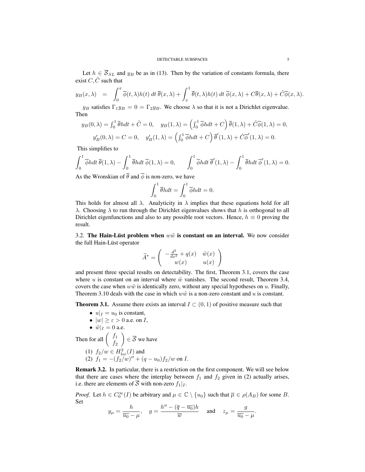Let  $h \in \overline{S}_{SL}$  and  $y_B$  be as in (13). Then by the variation of constants formula, there exist  $C, \tilde{C}$  such that

$$
y_B(x,\lambda) = \int_0^x \overline{\phi}(t,\lambda)h(t) dt \overline{\theta}(x,\lambda) + \int_x^1 \overline{\theta}(t,\lambda)h(t) dt \overline{\phi}(x,\lambda) + C\overline{\theta}(x,\lambda) + \tilde{C}\overline{\phi}(x,\lambda).
$$

 $y_B$  satisfies  $\Gamma_1 y_B = 0 = \Gamma_2 y_B$ . We choose  $\lambda$  so that it is not a Dirichlet eigenvalue. Then

$$
y_B(0,\lambda) = \int_0^1 \overline{\theta}h dt + \tilde{C} = 0, \quad y_B(1,\lambda) = \left(\int_0^1 \overline{\phi}h dt + C\right) \overline{\theta}(1,\lambda) + \tilde{C}\overline{\phi}(1,\lambda) = 0,
$$
  

$$
y'_B(0,\lambda) = C = 0, \quad y'_B(1,\lambda) = \left(\int_0^1 \overline{\phi}h dt + C\right) \overline{\theta}'(1,\lambda) + \tilde{C}\overline{\phi}'(1,\lambda) = 0.
$$

This simplifies to

$$
\int_0^1 \overline{\phi}h dt \, \overline{\theta}(1,\lambda) - \int_0^1 \overline{\theta}h dt \, \overline{\phi}(1,\lambda) = 0, \qquad \int_0^1 \overline{\phi}h dt \, \overline{\theta}'(1,\lambda) - \int_0^1 \overline{\theta}h dt \, \overline{\phi}'(1,\lambda) = 0.
$$

As the Wronskian of  $\overline{\theta}$  and  $\overline{\phi}$  is non-zero, we have

$$
\int_0^1 \overline{\theta}h dt = \int_0^1 \overline{\phi}h dt = 0.
$$

This holds for almost all  $\lambda$ . Analyticity in  $\lambda$  implies that these equations hold for all  $\lambda$ . Choosing  $\lambda$  to run through the Dirichlet eigenvalues shows that h is orthogonal to all Dirichlet eigenfunctions and also to any possible root vectors. Hence,  $h \equiv 0$  proving the result.

3.2. The Hain-Lüst problem when  $w\tilde{w}$  is constant on an interval. We now consider the full Hain-Lüst operator

$$
\widetilde{A}^* = \left( \begin{array}{cc} -\frac{d^2}{dx^2} + q(x) & \tilde{w}(x) \\ w(x) & u(x) \end{array} \right)
$$

and present three special results on detectability. The first, Theorem 3.1, covers the case where u is constant on an interval where  $\tilde{w}$  vanishes. The second result, Theorem 3.4, covers the case when  $w\tilde{w}$  is identically zero, without any special hypotheses on u. Finally, Theorem 3.10 deals with the case in which  $w\tilde{w}$  is a non-zero constant and u is constant.

**Theorem 3.1.** Assume there exists an interval  $I \subset (0,1)$  of positive measure such that

\n- \n
$$
u|_I = u_0
$$
 is constant,\n
\n- \n $|w| \geq \varepsilon > 0$  a.e. on *I*,\n
\n- \n $\tilde{w}|_I = 0$  a.e.\n
\n- \n Then for all\n  $\begin{pmatrix} f_1 \\ f_2 \end{pmatrix} \in \overline{S}$ \n we have\n
\n- \n (1)  $f_2/w \in H^2_{\text{loc}}(I)$  and\n
\n- \n (2)  $f_1 = -(f_2/w)'' + (q - u_0)f_2/w$  on *I*.\n
\n

Remark 3.2. In particular, there is a restriction on the first component. We will see below that there are cases where the interplay between  $f_1$  and  $f_2$  given in (2) actually arises, i.e. there are elements of  $\overline{S}$  with non-zero  $f_1|_I$ .

*Proof.* Let  $h \in C_0^{\infty}(I)$  be arbitrary and  $\mu \in \mathbb{C} \setminus \{u_0\}$  such that  $\overline{\mu} \in \rho(A_B)$  for some B. Set  $\ddot{\phantom{a}}$ 

$$
y_\mu = \frac{h}{\overline{u_0} - \mu}, \quad g = \frac{h'' - (\overline{q} - \overline{u_0})h}{\overline{w}} \quad \text{ and } \quad z_\mu = \frac{g}{\overline{u_0} - \mu}.
$$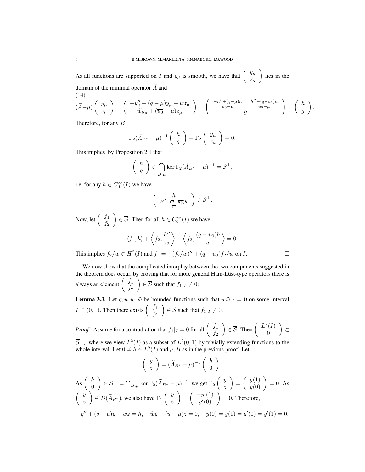As all functions are supported on  $\overline{I}$  and  $y_{\mu}$  is smooth, we have that  $\begin{pmatrix} y_{\mu} \\ z \end{pmatrix}$  $z_\mu$  $\setminus$ lies in the domain of the minimal operator  $\widetilde{A}$  and

(14)  
\n
$$
(\tilde{A}-\mu)\begin{pmatrix}y_{\mu}\\z_{\mu}\end{pmatrix} = \begin{pmatrix}-y_{\mu}''+(\overline{q}-\mu)y_{\mu}+\overline{w}z_{\mu}\\ \overline{\tilde{w}}y_{\mu}+(\overline{u_0}-\mu)z_{\mu}\end{pmatrix} = \begin{pmatrix}-\frac{h''+(\overline{q}-\mu)h}{\overline{u_0}-\mu}+\frac{h''-(\overline{q}-\overline{u_0})h}{\overline{u_0}-\mu}\\ g\end{pmatrix} = \begin{pmatrix}h\\g\end{pmatrix}.
$$

Therefore, for any B

$$
\Gamma_2(\widetilde{A}_{B^*} - \mu)^{-1} \begin{pmatrix} h \\ g \end{pmatrix} = \Gamma_2 \begin{pmatrix} y_\mu \\ z_\mu \end{pmatrix} = 0.
$$

This implies by Proposition 2.1 that

$$
\left(\begin{array}{c} h \\ g \end{array}\right) \in \bigcap_{B,\mu} \ker \Gamma_2 (\widetilde{A}_{B^*} - \mu)^{-1} = \mathcal{S}^{\perp},
$$

i.e. for any  $h \in C_0^{\infty}(I)$  we have

$$
\left(\begin{array}{c}h\\ \frac{h^{\prime\prime}-(\overline{q}-\overline{u_0})h}{\overline{w}}\end{array}\right)\in\mathcal{S}^{\perp}.
$$

Now, let  $\begin{pmatrix} f_1 \\ f_2 \end{pmatrix}$  $f<sub>2</sub>$  $\Big) \in \overline{\mathcal{S}}$ . Then for all  $h \in C_0^{\infty}(I)$  we have

$$
\langle f_1, h \rangle + \left\langle f_2, \frac{h''}{\overline{w}} \right\rangle - \left\langle f_2, \frac{(\overline{q} - \overline{u_0})h}{\overline{w}} \right\rangle = 0.
$$

This implies  $f_2/w \in H^2(I)$  and  $f_1 = -(f_2/w)'' + (q - u_0)f_2/w$  on I.

We now show that the complicated interplay between the two components suggested in the theorem does occur, by proving that for more general Hain-Lüst-type operators there is always an element  $\begin{pmatrix} f_1 \\ f_2 \end{pmatrix}$  $f<sub>2</sub>$  $\setminus$  $\in \mathcal{S}$  such that  $f_1|_I \neq 0$ :

**Lemma 3.3.** Let  $q, u, w, \tilde{w}$  be bounded functions such that  $w\tilde{w}|_{I} = 0$  on some interval  $I \subset (0, 1)$ . Then there exists  $\begin{pmatrix} f_1 \\ f_2 \end{pmatrix}$  $f_2$  $\setminus$  $\in \mathcal{S}$  such that  $f_1|_I \neq 0$ .

*Proof.* Assume for a contradiction that  $f_1|_I = 0$  for all  $\begin{pmatrix} f_1 \\ f_2 \end{pmatrix}$  $f_2$  $\Big) \in \overline{\mathcal{S}}$ . Then  $\Big( \begin{array}{c} L^2(I) \\ 0 \end{array} \Big)$ 0  $\overline{ }$ ⊂

 $\overline{S}^{\perp}$ , where we view  $L^2(I)$  as a subset of  $L^2(0,1)$  by trivially extending functions to the whole interval. Let  $0 \neq h \in L^2(I)$  and  $\mu$ , B as in the previous proof. Let

$$
\begin{pmatrix} y \\ z \end{pmatrix} = (\widetilde{A}_{B^*} - \mu)^{-1} \begin{pmatrix} h \\ 0 \end{pmatrix}.
$$
  
As  $\begin{pmatrix} h \\ 0 \end{pmatrix} \in \overline{S}^{\perp} = \bigcap_{B,\mu} \ker \Gamma_2 (\widetilde{A}_{B^*} - \mu)^{-1}$ , we get  $\Gamma_2 \begin{pmatrix} y \\ z \end{pmatrix} = \begin{pmatrix} y(1) \\ y(0) \end{pmatrix} = 0$ . As  $\begin{pmatrix} y \\ z \end{pmatrix} \in D(\widetilde{A}_{B^*})$ , we also have  $\Gamma_1 \begin{pmatrix} y \\ z \end{pmatrix} = \begin{pmatrix} -y'(1) \\ y'(0) \end{pmatrix} = 0$ . Therefore,  
 $-y'' + (\overline{q} - \mu)y + \overline{w}z = h$ ,  $\overline{\widetilde{w}}y + (\overline{u} - \mu)z = 0$ ,  $y(0) = y(1) = y'(0) = y'(1) = 0$ .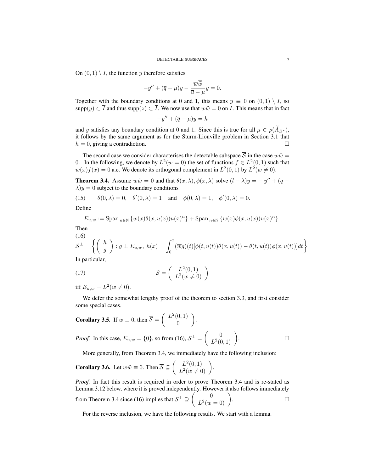On  $(0, 1) \setminus I$ , the function y therefore satisfies

$$
-y'' + (\overline{q} - \mu)y - \frac{\overline{w}\overline{\widetilde{w}}}{\overline{u} - \mu}y = 0.
$$

Together with the boundary conditions at 0 and 1, this means  $y \equiv 0$  on  $(0,1) \setminus I$ , so supp $(y) \subset \overline{I}$  and thus supp $(z) \subset \overline{I}$ . We now use that  $w\tilde{w} = 0$  on *I*. This means that in fact

$$
-y'' + (\overline{q} - \mu)y = h
$$

and y satisfies any boundary condition at 0 and 1. Since this is true for all  $\mu \in \rho(\widetilde{A}_{B^*})$ , it follows by the same argument as for the Sturm-Liouville problem in Section 3.1 that  $h = 0$ , giving a contradiction.

The second case we consider characterises the detectable subspace  $\overline{S}$  in the case  $w\tilde{w} =$ 0. In the following, we denote by  $L^2(w=0)$  the set of functions  $f \in L^2(0,1)$  such that  $w(x)f(x) = 0$  a.e. We denote its orthogonal complement in  $L^2(0,1)$  by  $L^2(w \neq 0)$ .

**Theorem 3.4.** Assume  $w\tilde{w} = 0$  and that  $\theta(x, \lambda), \phi(x, \lambda)$  solve  $(l - \lambda)y = -y'' + (q \lambda$ )y = 0 subject to the boundary conditions

(15) 
$$
\theta(0,\lambda) = 0
$$
,  $\theta'(0,\lambda) = 1$  and  $\phi(0,\lambda) = 1$ ,  $\phi'(0,\lambda) = 0$ .

Define

$$
E_{u,w} := \mathrm{Span}_{n \in \mathbb{N}} \left\{ w(x)\theta(x,u(x))u(x)^n \right\} + \mathrm{Span}_{n \in \mathbb{N}} \left\{ w(x)\phi(x,u(x))u(x)^n \right\}.
$$

Then  $(16)$ 

(16)  
\n
$$
\mathcal{S}^{\perp} = \left\{ \begin{pmatrix} h \\ g \end{pmatrix} : g \perp E_{u,w}, h(x) = \int_0^x (\overline{w}g)(t) [\overline{\phi}(t, u(t))\overline{\theta}(x, u(t)) - \overline{\theta}(t, u(t))\overline{\phi}(x, u(t))]dt \right\}
$$
\nIn particular

In particular,

(17) 
$$
\overline{S} = \begin{pmatrix} L^2(0,1) \\ L^2(w \neq 0) \end{pmatrix}
$$

iff  $E_{u,w} = L^2(w \neq 0)$ .

We defer the somewhat lengthy proof of the theorem to section 3.3, and first consider some special cases.

**Corollary 3.5.** If 
$$
w \equiv 0
$$
, then  $\overline{S} = \begin{pmatrix} L^2(0,1) \\ 0 \end{pmatrix}$ .  
\n*Proof.* In this case,  $E_{u,w} = \{0\}$ , so from (16),  $S^{\perp} = \begin{pmatrix} 0 \\ L^2(0,1) \end{pmatrix}$ .

More generally, from Theorem 3.4, we immediately have the following inclusion:

**Corollary 3.6.** Let 
$$
w\tilde{w} \equiv 0
$$
. Then  $\overline{S} \subseteq \begin{pmatrix} L^2(0,1) \\ L^2(w \neq 0) \end{pmatrix}$ .

*Proof.* In fact this result is required in order to prove Theorem 3.4 and is re-stated as Lemma 3.12 below, where it is proved independently. However it also follows immediately from Theorem 3.4 since (16) implies that  $S^{\perp} \supseteq \begin{pmatrix} 0 & 0 \\ 0 & 0 \end{pmatrix}$  $\begin{pmatrix} 0 \\ L^2(w=0) \end{pmatrix}$ .

For the reverse inclusion, we have the following results. We start with a lemma.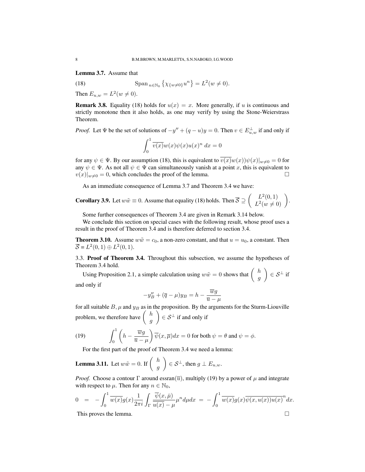Lemma 3.7. Assume that

(18) 
$$
\text{Span}_{n \in \mathbb{N}_0} \left\{ \chi_{\{w \neq 0\}} u^n \right\} = L^2(w \neq 0).
$$

Then  $E_{u,w} = L^2(w \neq 0)$ .

**Remark 3.8.** Equality (18) holds for  $u(x) = x$ . More generally, if u is continuous and strictly monotone then it also holds, as one may verify by using the Stone-Weierstrass Theorem.

*Proof.* Let  $\Psi$  be the set of solutions of  $-y'' + (q - u)y = 0$ . Then  $v \in E_{u,w}^{\perp}$  if and only if  $\int_1^1$ 0  $\overline{v(x)}w(x)\psi(x)u(x)^n dx = 0$ 

for any  $\psi \in \Psi$ . By our assumption (18), this is equivalent to  $\overline{v(x)}w(x)\psi(x)|_{w\neq0}=0$  for any  $\psi \in \Psi$ . As not all  $\psi \in \Psi$  can simultaneously vanish at a point x, this is equivalent to  $v(x)|_{w\neq0}=0$ , which concludes the proof of the lemma.

As an immediate consequence of Lemma 3.7 and Theorem 3.4 we have:

**Corollary 3.9.** Let 
$$
w\tilde{w} \equiv 0
$$
. Assume that equality (18) holds. Then  $\overline{\mathcal{S}} \supseteq \begin{pmatrix} L^2(0,1) \\ L^2(w \neq 0) \end{pmatrix}$ .

Some further consequences of Theorem 3.4 are given in Remark 3.14 below.

We conclude this section on special cases with the following result, whose proof uses a result in the proof of Theorem 3.4 and is therefore deferred to section 3.4.

**Theorem 3.10.** Assume  $w\tilde{w} = c_0$ , a non-zero constant, and that  $u = u_0$ , a constant. Then  $\overline{S} = L^2(0,1) \oplus L^2(0,1).$ 

3.3. Proof of Theorem 3.4. Throughout this subsection, we assume the hypotheses of Theorem 3.4 hold.

Using Proposition 2.1, a simple calculation using  $w\tilde{w} = 0$  shows that  $\begin{pmatrix} h \\ h \end{pmatrix}$ g  $\Big) \in \mathcal{S}^{\perp}$  if and only if

$$
-y''_B + (\overline{q} - \mu)y_B = h - \frac{\overline{w}g}{\overline{u} - \mu}
$$

for all suitable  $B$ ,  $\mu$  and  $y_B$  as in the proposition. By the arguments for the Sturm-Liouville problem, we therefore have  $\begin{pmatrix} h \\ h \end{pmatrix}$ g  $\Big) \in S^{\perp}$  if and only if

(19) 
$$
\int_0^1 \left( h - \frac{\overline{w}g}{\overline{u} - \mu} \right) \overline{\psi}(x, \overline{\mu}) dx = 0 \text{ for both } \psi = \theta \text{ and } \psi = \phi.
$$

For the first part of the proof of Theorem 3.4 we need a lemma:

**Lemma 3.11.** Let  $w\tilde{w} = 0$ . If  $\begin{pmatrix} h \\ h \end{pmatrix}$ g  $\Big) \in \mathcal{S}^{\perp}$ , then  $g \perp E_{u,w}$ .

*Proof.* Choose a contour Γ around essran( $\overline{u}$ ), multiply (19) by a power of  $\mu$  and integrate with respect to  $\mu$ . Then for any  $n \in \mathbb{N}_0$ ,

$$
0 = -\int_0^1 \overline{w(x)}g(x)\frac{1}{2\pi i} \int_\Gamma \frac{\overline{\psi}(x,\bar{\mu})}{\overline{u(x)} - \mu} \mu^n d\mu dx = -\int_0^1 \overline{w(x)}g(x)\overline{\psi(x,u(x))u(x)}^n dx.
$$
  
This proves the lemma.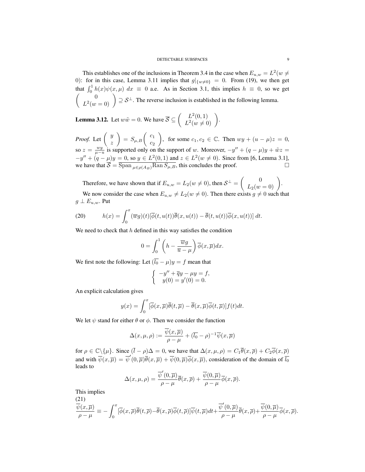This establishes one of the inclusions in Theorem 3.4 in the case when  $E_{u,w} = L^2(w \neq 0)$ 0): for in this case, Lemma 3.11 implies that  $g|_{\{w\neq0\}} = 0$ . From (19), we then get that  $\int_0^1 h(x)\psi(x,\mu) dx \equiv 0$  a.e. As in Section 3.1, this implies  $h \equiv 0$ , so we get  $\begin{pmatrix} 0 \\ 0 \end{pmatrix}$  $L^2(w=0)$   $\Big) \supseteq S^{\perp}$ . The reverse inclusion is established in the following lemma.

**Lemma 3.12.** Let  $w\tilde{w} = 0$ . We have  $\overline{S} \subseteq \begin{pmatrix} L^2(0,1) \\ I^2(w,1) \end{pmatrix}$  $L^2(0,1)$ <br>  $L^2(w \neq 0)$ 

*Proof.* Let  $\begin{pmatrix} y \\ y \end{pmatrix}$ z  $= S_{\mu,B} \begin{pmatrix} c_1 \\ c_2 \end{pmatrix}$  $\overline{c_2}$ ), for some  $c_1, c_2 \in \mathbb{C}$ . Then  $wy + (u - \mu)z = 0$ , so  $z = \frac{wy}{\mu - u}$  is supported only on the support of w. Moreover,  $-y'' + (q - \mu)y + \tilde{w}z =$  $-y'' + (q - \mu)y = 0$ , so  $y \in L^2(0,1)$  and  $z \in L^2(w \neq 0)$ . Since from [6, Lemma 3.1], we have that  $\overline{S} = \overline{\text{Span}_{\mu \in \rho(A_B)} \text{Ran} S_{\mu, B}}$ , this concludes the proof.

Therefore, we have shown that if  $E_{u,w} = L_2(w \neq 0)$ , then  $S^{\perp} = \begin{pmatrix} 0 \\ L_2(w=0) \end{pmatrix}$ .

We now consider the case when  $E_{u,w} \neq L_2(w \neq 0)$ . Then there exists  $g \neq 0$  such that  $g \perp E_{u,w}$ . Put

(20) 
$$
h(x) = \int_0^x (\overline{w}g)(t) [\overline{\phi}(t, u(t))\overline{\theta}(x, u(t)) - \overline{\theta}(t, u(t))\overline{\phi}(x, u(t))] dt.
$$

We need to check that  $h$  defined in this way satisfies the condition

$$
0 = \int_0^1 \left( h - \frac{\overline{w}g}{\overline{u} - \mu} \right) \overline{\phi}(x, \overline{\mu}) dx.
$$

We first note the following: Let  $(\overline{l_0} - \mu)y = f$  mean that

$$
\begin{cases}\n-y'' + \overline{q}y - \mu y = f, \\
y(0) = y'(0) = 0.\n\end{cases}
$$

An explicit calculation gives

$$
y(x) = \int_0^x [\overline{\phi}(x,\overline{\mu})\overline{\theta}(t,\overline{\mu}) - \overline{\theta}(x,\overline{\mu})\overline{\phi}(t,\overline{\mu})]f(t)dt.
$$

We let  $\psi$  stand for either  $\theta$  or  $\phi$ . Then we consider the function

$$
\Delta(x,\mu,\rho) := \frac{\overline{\psi}(x,\overline{\mu})}{\rho-\mu} + (\overline{l_0} - \rho)^{-1} \overline{\psi}(x,\overline{\mu})
$$

for  $\rho \in \mathbb{C}\backslash \{\mu\}$ . Since  $(\bar{l} - \rho)\Delta = 0$ , we have that  $\Delta(x, \mu, \rho) = C_1 \overline{\theta}(x, \overline{\rho}) + C_2 \overline{\phi}(x, \overline{\rho})$ and with  $\overline{\psi}(x,\overline{\mu}) = \overline{\psi}'(0,\overline{\mu})\overline{\theta}(x,\overline{\mu}) + \overline{\psi}(0,\overline{\mu})\overline{\phi}(x,\overline{\mu})$ , consideration of the domain of  $\overline{l_0}$ leads to

$$
\Delta(x,\mu,\rho)=\frac{\overline{\psi}'(0,\overline{\mu})}{\rho-\mu}\overline{\theta}(x,\overline{\rho})+\frac{\overline{\psi}(0,\overline{\mu})}{\rho-\mu}\overline{\phi}(x,\overline{\rho}).
$$

This implies

$$
\frac{\overline{\psi}(x,\overline{\mu})}{\rho-\mu} \equiv -\int_0^x [\overline{\phi}(x,\overline{\rho})\overline{\theta}(t,\overline{\rho}) - \overline{\theta}(x,\overline{\rho})\overline{\phi}(t,\overline{\rho})]\overline{\psi}(t,\overline{\mu})dt + \frac{\overline{\psi}'(0,\overline{\mu})}{\rho-\mu}\overline{\theta}(x,\overline{\rho}) + \frac{\overline{\psi}(0,\overline{\mu})}{\rho-\mu}\overline{\phi}(x,\overline{\rho}).
$$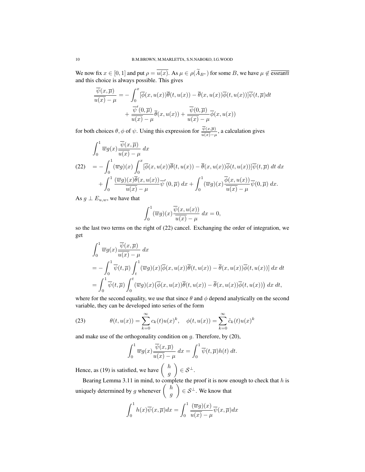We now fix  $x \in [0, 1]$  and put  $\rho = \overline{u(x)}$ . As  $\mu \in \rho(\widetilde{A}_{B^*})$  for some B, we have  $\mu \notin \overline{\text{essran}\overline{u}}$ and this choice is always possible. This gives

$$
\frac{\overline{\psi}(x,\overline{\mu})}{\overline{u(x)} - \mu} = -\int_0^x [\overline{\phi}(x, u(x))\overline{\theta}(t, u(x)) - \overline{\theta}(x, u(x))\overline{\phi}(t, u(x))]\overline{\psi}(t, \overline{\mu})dt \n+ \frac{\overline{\psi}'(0, \overline{\mu})}{\overline{u(x)} - \mu}\overline{\theta}(x, u(x)) + \frac{\overline{\psi}(0, \overline{\mu})}{\overline{u(x)} - \mu}\overline{\phi}(x, u(x))
$$

for both choices  $\theta$ ,  $\phi$  of  $\psi$ . Using this expression for  $\frac{\psi(x,\overline{\mu})}{u(x)-\mu}$ , a calculation gives

$$
\int_0^1 \overline{w}g(x)\frac{\overline{\psi}(x,\overline{\mu})}{\overline{u(x)}-\mu} dx
$$
\n(22) 
$$
= -\int_0^1 (\overline{w}g)(x)\int_0^x [\overline{\phi}(x,u(x))\overline{\theta}(t,u(x)) - \overline{\theta}(x,u(x))\overline{\phi}(t,u(x))]\overline{\psi}(t,\overline{\mu}) dt dx
$$
\n
$$
+ \int_0^1 \frac{(\overline{w}g)(x)\overline{\theta}(x,u(x))}{\overline{u(x)}-\mu}\overline{\psi}'(0,\overline{\mu}) dx + \int_0^1 (\overline{w}g)(x)\frac{\overline{\phi}(x,u(x))}{\overline{u(x)}-\mu}\overline{\psi}(0,\overline{\mu}) dx.
$$

As  $g \perp E_{u,w}$ , we have that

$$
\int_0^1 (\overline{w}g)(x) \frac{\overline{\psi}(x, u(x))}{\overline{u(x)} - \mu} dx = 0,
$$

so the last two terms on the right of (22) cancel. Exchanging the order of integration, we get

$$
\int_0^1 \overline{w}g(x)\frac{\overline{\psi}(x,\overline{\mu})}{\overline{u}(x)-\mu} dx
$$
\n
$$
= -\int_0^1 \overline{\psi}(t,\overline{\mu})\int_t^1 (\overline{w}g)(x)[\overline{\phi}(x,u(x))\overline{\theta}(t,u(x)) - \overline{\theta}(x,u(x))\overline{\phi}(t,u(x))] dx dt
$$
\n
$$
= \int_0^1 \overline{\psi}(t,\overline{\mu})\int_0^t (\overline{w}g)(x)(\overline{\phi}(x,u(x))\overline{\theta}(t,u(x)) - \overline{\theta}(x,u(x))\overline{\phi}(t,u(x))) dx dt,
$$

where for the second equality, we use that since  $\theta$  and  $\phi$  depend analytically on the second variable, they can be developed into series of the form

(23) 
$$
\theta(t, u(x)) = \sum_{k=0}^{\infty} c_k(t) u(x)^k, \quad \phi(t, u(x)) = \sum_{k=0}^{\infty} \tilde{c}_k(t) u(x)^k
$$

and make use of the orthogonality condition on  $g$ . Therefore, by (20),

$$
\int_0^1 \overline{w} g(x) \frac{\overline{\psi}(x,\overline{\mu})}{\overline{u(x)} - \mu} dx = \int_0^1 \overline{\psi}(t,\overline{\mu}) h(t) dt.
$$

Hence, as (19) is satisfied, we have  $\begin{pmatrix} h & h \\ h & h \end{pmatrix}$ g  $\Big) \in \mathcal{S}^{\perp}.$ 

Bearing Lemma 3.11 in mind, to complete the proof it is now enough to check that  $h$  is uniquely determined by g whenever  $\begin{pmatrix} h & h \\ h & h \end{pmatrix}$ g  $\Big) \in \mathcal{S}^{\perp}$ . We know that

$$
\int_0^1 h(x)\overline{\psi}(x,\overline{\mu})dx = \int_0^1 \frac{(\overline{w}g)(x)}{\overline{u(x)} - \mu}\overline{\psi}(x,\overline{\mu})dx
$$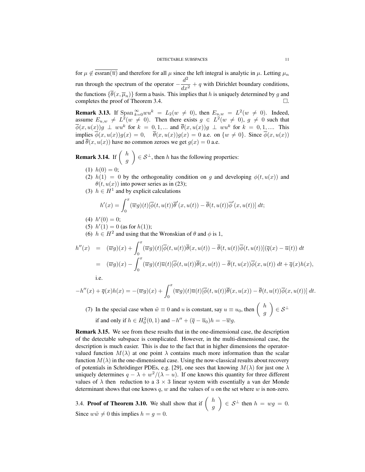for  $\mu \notin \overline{essran(\overline{u})}$  and therefore for all  $\mu$  since the left integral is analytic in  $\mu$ . Letting  $\mu_n$ run through the spectrum of the operator  $-\frac{d^2}{dt^2}$  $\frac{a}{dx^2} + q$  with Dirichlet boundary conditions, the functions  $\{\overline{\theta}(x, \overline{\mu}_n)\}$  form a basis. This implies that h is uniquely determined by g and completes the proof of Theorem 3.4. completes the proof of Theorem 3.4. .

**Remark 3.13.** If  $\text{Span}_{k=0}^{\infty}wu^k = L_2(w \neq 0)$ , then  $E_{u,w} = L^2(w \neq 0)$ . Indeed, assume  $E_{u,w} \neq L^2(w \neq 0)$ . Then there exists  $g \in L^2(w \neq 0)$ ,  $g \neq 0$  such that  $\overline{\phi}(x,u(x))g \perp w u^k$  for  $k = 0,1,...$  and  $\overline{\theta}(x,u(x))g \perp w u^k$  for  $k = 0,1,...$  This implies  $\overline{\phi}(x, u(x))g(x) = 0$ ,  $\overline{\theta}(x, u(x))g(x) = 0$  a.e. on  $\{w \neq 0\}$ . Since  $\overline{\phi}(x, u(x))$ and  $\overline{\theta}(x, u(x))$  have no common zeroes we get  $q(x) = 0$  a.e.

**Remark 3.14.** If  $\begin{pmatrix} h \\ h \end{pmatrix}$ g  $\Big) \in \mathcal{S}^{\perp}$ , then h has the following properties:

- (1)  $h(0) = 0$ ;
- (2)  $h(1) = 0$  by the orthogonality condition on g and developing  $\phi(t, u(x))$  and  $\theta(t, u(x))$  into power series as in (23);
- (3)  $h \in H<sup>1</sup>$  and by explicit calculations

$$
h'(x) = \int_0^x (\overline{w}g)(t) [\overline{\phi}(t, u(t))\overline{\theta}'(x, u(t)) - \overline{\theta}(t, u(t))\overline{\phi}'(x, u(t))] dt;
$$

- (4)  $h'(0) = 0;$
- (5)  $h'(1) = 0$  (as for  $h(1)$ );
- (6)  $h \in H^2$  and using that the Wronskian of  $\theta$  and  $\phi$  is 1,

$$
h''(x) = (\overline{w}g)(x) + \int_0^x (\overline{w}g)(t) [\overline{\phi}(t, u(t))\overline{\theta}(x, u(t)) - \overline{\theta}(t, u(t))\overline{\phi}(t, u(t))](\overline{q}(x) - \overline{u}(t)) dt
$$
  

$$
= (\overline{w}g)(x) - \int_0^x (\overline{w}g)(t) \overline{u}(t) [\overline{\phi}(t, u(t))\overline{\theta}(x, u(t)) - \overline{\theta}(t, u(x))\overline{\phi}(x, u(t)) dt + \overline{q}(x)h(x),
$$

i.e.

$$
-h''(x) + \overline{q}(x)h(x) = -(\overline{w}g)(x) + \int_0^x (\overline{w}g)(t)\overline{u}(t)[\overline{\phi}(t, u(t))\overline{\theta}(x, u(x)) - \overline{\theta}(t, u(t))\overline{\phi}(x, u(t))] dt.
$$

(7) In the special case when  $\tilde{w} \equiv 0$  and u is constant, say  $u \equiv u_0$ , then  $\begin{pmatrix} h & h \\ h & h \end{pmatrix}$ g  $\Big) \in \mathcal{S}^{\perp}$ if and only if  $h \in H_0^2(0,1)$  and  $-h'' + (\overline{q} - \overline{u}_0)h = -\overline{w}g$ .

Remark 3.15. We see from these results that in the one-dimensional case, the description of the detectable subspace is complicated. However, in the multi-dimensional case, the description is much easier. This is due to the fact that in higher dimensions the operatorvalued function  $M(\lambda)$  at one point  $\lambda$  contains much more information than the scalar function  $M(\lambda)$  in the one-dimensional case. Using the now-classical results about recovery of potentials in Schrödinger PDEs, e.g. [29], one sees that knowing  $M(\lambda)$  for just one  $\lambda$ uniquely determines  $q - \lambda + \frac{w^2}{\lambda - u}$ . If one knows this quantity for three different values of  $\lambda$  then reduction to a 3  $\times$  3 linear system with essentially a van der Monde determinant shows that one knows q, w and the values of u on the set where  $w$  is non-zero.

3.4. Proof of Theorem 3.10. We shall show that if  $\begin{pmatrix} h & h \\ h & h \end{pmatrix}$ g  $\Big) \in S^{\perp}$  then  $h = wg = 0$ . Since  $w\tilde{w} \neq 0$  this implies  $h = q = 0$ .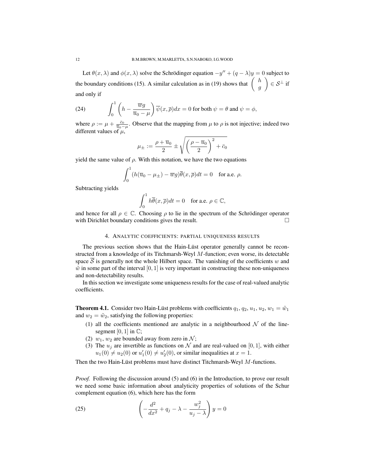Let  $\theta(x, \lambda)$  and  $\phi(x, \lambda)$  solve the Schrödinger equation  $-y'' + (q - \lambda)y = 0$  subject to the boundary conditions (15). A similar calculation as in (19) shows that  $\begin{pmatrix} h \\ h \end{pmatrix}$ g  $\Big) \in S^{\perp}$  if and only if

(24) 
$$
\int_0^1 \left( h - \frac{\overline{w}g}{\overline{u}_0 - \mu} \right) \overline{\psi}(x, \overline{\rho}) dx = 0 \text{ for both } \psi = \theta \text{ and } \psi = \phi,
$$

where  $\rho := \mu + \frac{\bar{c}_0}{\bar{u}_0 - \mu}$ . Observe that the mapping from  $\mu$  to  $\rho$  is not injective; indeed two different values of  $\mu$ ,

$$
\mu_{\pm}:=\frac{\rho+\overline{u}_0}{2}\pm\sqrt{\left(\frac{\rho-\overline{u}_0}{2}\right)^2+\bar{c}_0}
$$

yield the same value of  $\rho$ . With this notation, we have the two equations

$$
\int_0^1 (h(\overline{u}_0 - \mu_{\pm}) - \overline{w}g)\overline{\theta}(x, \overline{\rho})dt = 0 \text{ for a.e. } \rho.
$$

Subtracting yields

$$
\int_0^1 h\overline{\theta}(x,\overline{\rho})dt = 0 \text{ for a.e. } \rho \in \mathbb{C},
$$

and hence for all  $\rho \in \mathbb{C}$ . Choosing  $\rho$  to lie in the spectrum of the Schrödinger operator with Dirichlet boundary conditions gives the result.

#### 4. ANALYTIC COEFFICIENTS: PARTIAL UNIQUENESS RESULTS

The previous section shows that the Hain-Lüst operator generally cannot be reconstructed from a knowledge of its Titchmarsh-Weyl M-function; even worse, its detectable space  $S$  is generally not the whole Hilbert space. The vanishing of the coefficients  $w$  and  $\tilde{w}$  in some part of the interval [0, 1] is very important in constructing these non-uniqueness and non-detectability results.

In this section we investigate some uniqueness results for the case of real-valued analytic coefficients.

**Theorem 4.1.** Consider two Hain-Lüst problems with coefficients  $q_1, q_2, u_1, u_2, w_1 = \tilde{w}_1$ and  $w_2 = \tilde{w}_2$ , satisfying the following properties:

- (1) all the coefficients mentioned are analytic in a neighbourhood  $N$  of the linesegment  $[0, 1]$  in  $\mathbb{C}$ ;
- (2)  $w_1, w_2$  are bounded away from zero in N;
- (3) The  $u_i$  are invertible as functions on N and are real-valued on [0, 1], with either  $u_1(0) \neq u_2(0)$  or  $u'_1(0) \neq u'_2(0)$ , or similar inequalities at  $x = 1$ .

Then the two Hain-Lüst problems must have distinct Titchmarsh-Weyl  $M$ -functions.

*Proof.* Following the discussion around (5) and (6) in the Introduction, to prove our result we need some basic information about analyticity properties of solutions of the Schur complement equation (6), which here has the form

(25) 
$$
\left(-\frac{d^2}{dx^2} + q_j - \lambda - \frac{w_j^2}{u_j - \lambda}\right)y = 0
$$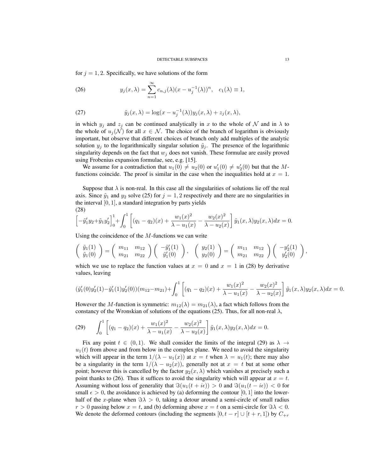for  $j = 1, 2$ . Specifically, we have solutions of the form

(26) 
$$
y_j(x,\lambda) = \sum_{n=1}^{\infty} c_{n,j}(\lambda)(x - u_j^{-1}(\lambda))^n, \quad c_1(\lambda) \equiv 1,
$$

(27) 
$$
\tilde{y}_j(x,\lambda) = \log(x - u_j^{-1}(\lambda))y_j(x,\lambda) + z_j(x,\lambda),
$$

in which  $y_i$  and  $z_i$  can be continued analytically in x to the whole of N and in  $\lambda$  to the whole of  $u_i(\mathcal{N})$  for all  $x \in \mathcal{N}$ . The choice of the branch of logarithm is obviously important, but observe that different choices of branch only add multiples of the analytic solution  $y_j$  to the logarithmically singular solution  $\tilde{y}_j$ . The presence of the logarithmic singularity depends on the fact that  $w_j$  does not vanish. These formulae are easily proved using Frobenius expansion formulae, see, e.g. [15].

We assume for a contradiction that  $u_1(0) \neq u_2(0)$  or  $u'_1(0) \neq u'_2(0)$  but that the Mfunctions coincide. The proof is similar in the case when the inequalities hold at  $x = 1$ .

Suppose that  $\lambda$  is non-real. In this case all the singularities of solutions lie off the real axis. Since  $\tilde{y}_1$  and  $y_2$  solve (25) for  $j = 1, 2$  respectively and there are no singularities in the interval  $[0, 1]$ , a standard integration by parts yields (28)

$$
\left[-\tilde{y}_1' y_2 + \tilde{y}_1 y_2'\right]_0^1 + \int_0^1 \left[ (q_1 - q_2)(x) + \frac{w_1(x)^2}{\lambda - u_1(x)} - \frac{w_2(x)^2}{\lambda - u_2(x)} \right] \tilde{y}_1(x, \lambda) y_2(x, \lambda) dx = 0.
$$

Using the coincidence of the  $M$ -functions we can write

$$
\begin{pmatrix}\n\tilde{y}_1(1) \\
\tilde{y}_1(0)\n\end{pmatrix} = \begin{pmatrix}\nm_{11} & m_{12} \\
m_{21} & m_{22}\n\end{pmatrix} \begin{pmatrix}\n-\tilde{y}'_1(1) \\
\tilde{y}'_1(0)\n\end{pmatrix}, \quad\n\begin{pmatrix}\ny_2(1) \\
y_2(0)\n\end{pmatrix} = \begin{pmatrix}\nm_{11} & m_{12} \\
m_{21} & m_{22}\n\end{pmatrix} \begin{pmatrix}\n-y'_2(1) \\
y'_2(0)\n\end{pmatrix},
$$

which we use to replace the function values at  $x = 0$  and  $x = 1$  in (28) by derivative values, leaving

$$
(\tilde{y}'_1(0)y'_2(1) - \tilde{y}'_1(1)y'_2(0))(m_{12} - m_{21}) + \int_0^1 \left[ (q_1 - q_2)(x) + \frac{w_1(x)^2}{\lambda - u_1(x)} - \frac{w_2(x)^2}{\lambda - u_2(x)} \right] \tilde{y}_1(x, \lambda) y_2(x, \lambda) dx = 0.
$$

However the M-function is symmetric:  $m_{12}(\lambda) = m_{21}(\lambda)$ , a fact which follows from the constancy of the Wronskian of solutions of the equations (25). Thus, for all non-real  $\lambda$ ,

(29) 
$$
\int_0^1 \left[ (q_1 - q_2)(x) + \frac{w_1(x)^2}{\lambda - u_1(x)} - \frac{w_2(x)^2}{\lambda - u_2(x)} \right] \tilde{y}_1(x, \lambda) y_2(x, \lambda) dx = 0.
$$

Fix any point  $t \in (0,1)$ . We shall consider the limits of the integral (29) as  $\lambda \rightarrow$  $u_1(t)$  from above and from below in the complex plane. We need to avoid the singularity which will appear in the term  $1/(\lambda - u_1(x))$  at  $x = t$  when  $\lambda = u_1(t)$ ; there may also be a singularity in the term  $1/(\lambda - u_2(x))$ , generally not at  $x = t$  but at some other point; however this is cancelled by the factor  $y_2(x, \lambda)$  which vanishes at precisely such a point thanks to (26). Thus it suffices to avoid the singularity which will appear at  $x = t$ . Assuming without loss of generality that  $\Im(u_1(t + i\epsilon)) > 0$  and  $\Im(u_1(t - i\epsilon)) < 0$  for small  $\epsilon > 0$ , the avoidance is achieved by (a) deforming the contour [0, 1] into the lowerhalf of the x-plane when  $\Im \lambda > 0$ , taking a detour around a semi-circle of small radius  $r > 0$  passing below  $x = t$ , and (b) deforming above  $x = t$  on a semi-circle for  $\Im \lambda < 0$ . We denote the deformed contours (including the segments  $[0, t - r]$   $\cup$   $[t + r, 1]$ ) by  $C_{+r}$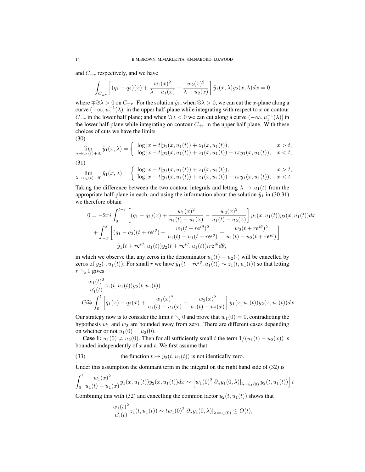and  $C_{-r}$  respectively, and we have

$$
\int_{C_{\pm r}} \left[ (q_1 - q_2)(x) + \frac{w_1(x)^2}{\lambda - u_1(x)} - \frac{w_2(x)^2}{\lambda - u_2(x)} \right] \tilde{y}_1(x, \lambda) y_2(x, \lambda) dx = 0
$$

where  $\mp \$\lambda > 0$  on  $C_{\pm r}$ . For the solution  $\tilde{y}_1$ , when  $\Im \lambda > 0$ , we can cut the x-plane along a curve  $(-\infty, u_1^{-1}(\lambda)]$  in the upper half-plane while integrating with respect to x on contour  $C_{-r}$  in the lower half plane; and when  $\Im \lambda < 0$  we can cut along a curve  $(-\infty, u_1^{-1}(\lambda)]$  in the lower half-plane while integrating on contour  $C_{+r}$  in the upper half plane. With these choices of cuts we have the limits (30)

$$
\lim_{\lambda \to u_1(t) + i0} \tilde{y}_1(x, \lambda) = \begin{cases} \log |x - t| y_1(x, u_1(t)) + z_1(x, u_1(t)), & x > t, \\ \log |x - t| y_1(x, u_1(t)) + z_1(x, u_1(t)) - i\pi y_1(x, u_1(t)), & x < t, \end{cases}
$$
\n(31)

$$
\lim_{\lambda \to u_1(t) - i0} \tilde{y}_1(x, \lambda) = \begin{cases} \log |x - t| y_1(x, u_1(t)) + z_1(x, u_1(t)), & x > t, \\ \log |x - t| y_1(x, u_1(t)) + z_1(x, u_1(t)) + i \pi y_1(x, u_1(t)), & x < t. \end{cases}
$$

Taking the difference between the two contour integrals and letting  $\lambda \to u_1(t)$  from the appropriate half-plane in each, and using the information about the solution  $\tilde{y}_1$  in (30,31) we therefore obtain

$$
0 = -2\pi i \int_0^{t-r} \left[ (q_1 - q_2)(x) + \frac{w_1(x)^2}{u_1(t) - u_1(x)} - \frac{w_2(x)^2}{u_1(t) - u_2(x)} \right] y_1(x, u_1(t)) y_2(x, u_1(t)) dx
$$
  
+ 
$$
\int_{-\pi}^{\pi} \left[ (q_1 - q_2)(t + re^{i\theta}) + \frac{w_1(t + re^{i\theta})^2}{u_1(t) - u_1(t + re^{i\theta})} - \frac{w_2(t + re^{i\theta})^2}{u_1(t) - u_2(t + re^{i\theta})} \right]
$$
  

$$
\tilde{y}_1(t + re^{i\theta}, u_1(t)) y_2(t + re^{i\theta}, u_1(t))ire^{i\theta} d\theta,
$$

in which we observe that any zeros in the denominator  $u_1(t) - u_2(\cdot)$  will be cancelled by zeros of  $y_2(\cdot, u_1(t))$ . For small r we have  $\tilde{y}_1(t + re^{i\theta}, u_1(t)) \sim z_1(t, u_1(t))$  so that letting  $r \searrow 0$  gives

$$
\frac{w_1(t)^2}{u_1'(t)} z_1(t, u_1(t)) y_2(t, u_1(t))
$$
  
(32) 
$$
\int_0^t \left[ q_1(x) - q_2(x) + \frac{w_1(x)^2}{u_1(t) - u_1(x)} - \frac{w_2(x)^2}{u_1(t) - u_2(x)} \right] y_1(x, u_1(t)) y_2(x, u_1(t)) dx.
$$

Our strategy now is to consider the limit  $t \searrow 0$  and prove that  $w_1(0) = 0$ , contradicting the hypothesis  $w_1$  and  $w_2$  are bounded away from zero. There are different cases depending on whether or not  $u_1(0) = u_2(0)$ .

**Case 1:**  $u_1(0) \neq u_2(0)$ . Then for all sufficiently small t the term  $1/(u_1(t) - u_2(x))$  is bounded independently of  $x$  and  $t$ . We first assume that

(33) the function  $t \mapsto y_2(t, u_1(t))$  is not identically zero.

Under this assumption the dominant term in the integral on the right hand side of (32) is

$$
\int_0^t \frac{w_1(x)^2}{u_1(t) - u_1(x)} y_1(x, u_1(t)) y_2(x, u_1(t)) dx \sim \left[ w_1(0)^2 \partial_\lambda y_1(0, \lambda) \big|_{\lambda = u_1(0)} y_2(t, u_1(t)) \right] t
$$

Combining this with (32) and cancelling the common factor  $y_2(t, u_1(t))$  shows that

$$
\frac{w_1(t)^2}{u_1'(t)} z_1(t, u_1(t)) \sim tw_1(0)^2 \partial_\lambda y_1(0, \lambda)|_{\lambda = u_1(0)} \le O(t),
$$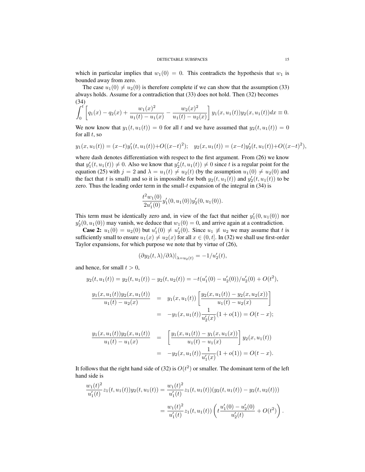which in particular implies that  $w_1(0) = 0$ . This contradicts the hypothesis that  $w_1$  is bounded away from zero.

The case  $u_1(0) \neq u_2(0)$  is therefore complete if we can show that the assumption (33) always holds. Assume for a contradiction that (33) does not hold. Then (32) becomes (34)

$$
\int_0^t \left[ q_1(x) - q_2(x) + \frac{w_1(x)^2}{u_1(t) - u_1(x)} - \frac{w_2(x)^2}{u_1(t) - u_2(x)} \right] y_1(x, u_1(t)) y_2(x, u_1(t)) dx \equiv 0.
$$

We now know that  $y_1(t, u_1(t)) = 0$  for all t and we have assumed that  $y_2(t, u_1(t)) = 0$ for all  $t$ , so

$$
y_1(x, u_1(t)) = (x-t)y'_1(t, u_1(t)) + O((x-t)^2);
$$
  $y_2(x, u_1(t)) = (x-t)y'_2(t, u_1(t)) + O((x-t)^2),$ 

where dash denotes differentiation with respect to the first argument. From (26) we know that  $y_1'(t, u_1(t)) \neq 0$ . Also we know that  $y_2'(t, u_1(t)) \neq 0$  since t is a regular point for the equation (25) with  $j = 2$  and  $\lambda = u_1(t) \neq u_2(t)$  (by the assumption  $u_1(0) \neq u_2(0)$  and the fact that t is small) and so it is impossible for both  $y_2(t, u_1(t))$  and  $y'_2(t, u_1(t))$  to be zero. Thus the leading order term in the small- $t$  expansion of the integral in (34) is

$$
\frac{t^2w_1(0)}{2u_1'(0)}y_1'(0,u_1(0))y_2'(0,u_1(0)).
$$

This term must be identically zero and, in view of the fact that neither  $y'_1(0, u_1(0))$  nor  $y_2'(0, u_1(0))$  may vanish, we deduce that  $w_1(0) = 0$ , and arrive again at a contradiction.

**Case 2:**  $u_1(0) = u_2(0)$  but  $u'_1(0) \neq u'_2(0)$ . Since  $u_1 \neq u_2$  we may assume that t is sufficiently small to ensure  $u_1(x) \neq u_2(x)$  for all  $x \in (0, t]$ . In (32) we shall use first-order Taylor expansions, for which purpose we note that by virtue of (26),

$$
(\partial y_2(t,\lambda)/\partial\lambda)|_{\lambda=u_2(t)} = -1/u_2'(t),
$$

and hence, for small  $t > 0$ ,

$$
y_2(t, u_1(t)) = y_2(t, u_1(t)) - y_2(t, u_2(t)) = -t(u'_1(0) - u'_2(0))/u'_2(0) + O(t^2),
$$
  
\n
$$
\frac{y_1(x, u_1(t))y_2(x, u_1(t))}{u_1(t) - u_2(x)} = y_1(x, u_1(t)) \left[ \frac{y_2(x, u_1(t)) - y_2(x, u_2(x))}{u_1(t) - u_2(x)} \right]
$$
  
\n
$$
= -y_1(x, u_1(t)) \frac{1}{u'_2(x)} (1 + o(1)) = O(t - x);
$$
  
\n
$$
\frac{y_1(x, u_1(t))y_2(x, u_1(t))}{u_1(t) - u_1(x)} = \left[ \frac{y_1(x, u_1(t)) - y_1(x, u_1(x))}{u_1(t) - u_1(x)} \right] y_2(x, u_1(t))
$$
  
\n
$$
= -y_2(x, u_1(t)) \frac{1}{u'_1(x)} (1 + o(1)) = O(t - x).
$$

It follows that the right hand side of (32) is  $O(t^2)$  or smaller. The dominant term of the left hand side is

$$
\frac{w_1(t)^2}{u_1'(t)} z_1(t, u_1(t)) y_2(t, u_1(t)) = \frac{w_1(t)^2}{u_1'(t)} z_1(t, u_1(t)) (y_2(t, u_1(t)) - y_2(t, u_2(t)))
$$
  
= 
$$
\frac{w_1(t)^2}{u_1'(t)} z_1(t, u_1(t)) \left( t \frac{u_1'(0) - u_2'(0)}{u_2'(t)} + O(t^2) \right).
$$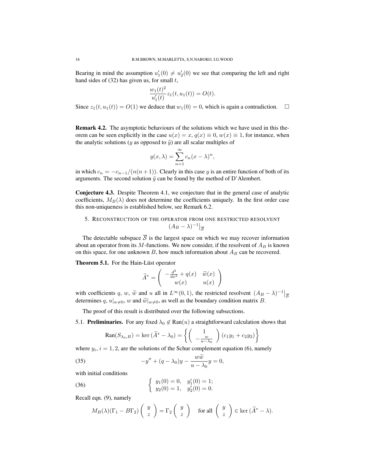Bearing in mind the assumption  $u'_1(0) \neq u'_2(0)$  we see that comparing the left and right hand sides of  $(32)$  has given us, for small t,

$$
\frac{w_1(t)^2}{u_1'(t)}z_1(t,u_1(t)) = O(t).
$$

Since  $z_1(t, u_1(t)) = O(1)$  we deduce that  $w_1(0) = 0$ , which is again a contradiction.  $\Box$ 

Remark 4.2. The asymptotic behaviours of the solutions which we have used in this theorem can be seen explicitly in the case  $u(x) = x$ ,  $q(x) \equiv 0$ ,  $w(x) \equiv 1$ , for instance, when the analytic solutions (y as opposed to  $\tilde{y}$ ) are all scalar multiples of

$$
y(x,\lambda) = \sum_{n=1}^{\infty} c_n (x - \lambda)^n,
$$

in which  $c_n = -\frac{c_{n-1}}{(n(n+1))}$ . Clearly in this case y is an entire function of both of its arguments. The second solution  $\tilde{y}$  can be found by the method of D'Alembert.

Conjecture 4.3. Despite Theorem 4.1, we conjecture that in the general case of analytic coefficients,  $M_B(\lambda)$  does not determine the coefficients uniquely. In the first order case this non-uniqueness is established below, see Remark 6.2.

## 5. RECONSTRUCTION OF THE OPERATOR FROM ONE RESTRICTED RESOLVENT  $(A_B - \lambda)^{-1} \big|_{\mathcal{S}}$

The detectable subspace  $\overline{S}$  is the largest space on which we may recover information about an operator from its  $M$ -functions. We now consider, if the resolvent of  $A_B$  is known on this space, for one unknown  $B$ , how much information about  $A_B$  can be recovered.

Theorem 5.1. For the Hain-Lüst operator

$$
\widetilde{A}^* = \left( \begin{array}{cc} -\frac{d^2}{dx^2} + q(x) & \widetilde{w}(x) \\ w(x) & u(x) \end{array} \right)
$$

with coefficients q, w,  $\tilde{w}$  and u all in  $L^{\infty}(0, 1)$ , the restricted resolvent  $(A_B - \lambda)^{-1}$   $\Big|_{\overline{S}}$ determines q,  $u|_{w\neq0}$ , w and  $\widetilde{w}|_{w\neq0}$ , as well as the boundary condition matrix B.

The proof of this result is distributed over the following subsections.

5.1. **Preliminaries.** For any fixed  $\lambda_0 \notin \text{Ran}(u)$  a straightforward calculation shows that

$$
\text{Ran}(S_{\lambda_0,B}) = \text{ker}(\widetilde{A}^* - \lambda_0) = \left\{ \left( \begin{array}{c} 1 \\ -\frac{w}{u - \lambda_0} \end{array} \right) (c_1y_1 + c_2y_2) \right\}
$$

where  $y_i$ ,  $i = 1, 2$ , are the solutions of the Schur complement equation (6), namely

(35) 
$$
-y'' + (q - \lambda_0)y - \frac{w\tilde{w}}{u - \lambda_0}y = 0,
$$

with initial conditions

(36) 
$$
\begin{cases} y_1(0) = 0, & y'_1(0) = 1; \\ y_2(0) = 1, & y'_2(0) = 0. \end{cases}
$$

Recall eqn. (9), namely

$$
M_B(\lambda)(\Gamma_1 - B\Gamma_2) \begin{pmatrix} y \\ z \end{pmatrix} = \Gamma_2 \begin{pmatrix} y \\ z \end{pmatrix}
$$
 for all  $\begin{pmatrix} y \\ z \end{pmatrix} \in \text{ker}(\widetilde{A}^* - \lambda)$ .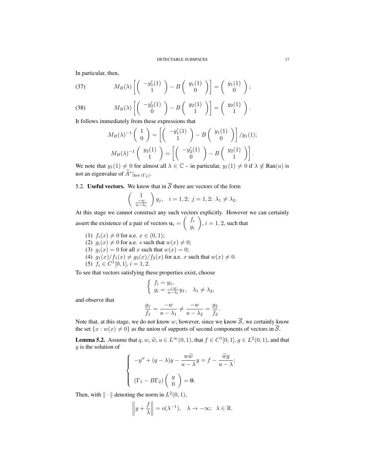In particular, then,

(37) 
$$
M_B(\lambda) \left[ \begin{pmatrix} -y_1'(1) \\ 1 \end{pmatrix} - B \begin{pmatrix} y_1(1) \\ 0 \end{pmatrix} \right] = \begin{pmatrix} y_1(1) \\ 0 \end{pmatrix};
$$

(38) 
$$
M_B(\lambda) \left[ \begin{pmatrix} -y_2'(1) \\ 0 \end{pmatrix} - B \begin{pmatrix} y_2(1) \\ 1 \end{pmatrix} \right] = \begin{pmatrix} y_2(1) \\ 1 \end{pmatrix}.
$$

It follows immediately from these expressions that

$$
M_B(\lambda)^{-1} \begin{pmatrix} 1 \\ 0 \end{pmatrix} = \left[ \begin{pmatrix} -y_1'(1) \\ 1 \end{pmatrix} - B \begin{pmatrix} y_1(1) \\ 0 \end{pmatrix} \right] / y_1(1);
$$
  

$$
M_B(\lambda)^{-1} \begin{pmatrix} y_2(1) \\ 1 \end{pmatrix} = \left[ \begin{pmatrix} -y_2'(1) \\ 0 \end{pmatrix} - B \begin{pmatrix} y_2(1) \\ 1 \end{pmatrix} \right].
$$

We note that  $y_1(1) \neq 0$  for almost all  $\lambda \in \mathbb{C}$  – in particular,  $y_1(1) \neq 0$  if  $\lambda \notin \text{Ran}(u)$  is not an eigenvalue of  $\hat{A}^*|_{\text{ker }(\Gamma_2)}$ .

## 5.2. Useful vectors. We know that in  $\overline{S}$  there are vectors of the form

$$
\left(\begin{array}{c}1\\\frac{-w}{u-\lambda_i}\end{array}\right)y_j,\quad i=1,2;\ j=1,2;\ \lambda_1\neq\lambda_2.
$$

At this stage we cannot construct any such vectors explicitly. However we can certainly assert the existence of a pair of vectors  $\mathbf{u}_i = \begin{pmatrix} f_i \\ g_i \end{pmatrix}$ gi  $\overline{\phantom{0}}$ ,  $i = 1, 2$ , such that

- (1)  $f_i(x) \neq 0$  for a.e.  $x \in (0, 1)$ ;
- (2)  $g_i(x) \neq 0$  for a.e. s such that  $w(x) \neq 0$ ;
- (3)  $g_i(x) = 0$  for all x such that  $w(x) = 0$ ;
- (4)  $g_1(x)/f_1(x) \neq g_2(x)/f_2(x)$  for a.e. x such that  $w(x) \neq 0$ .
- (5)  $f_i \in C^1[0,1], i = 1,2.$

To see that vectors satisfying these properties exist, choose

$$
\left\{ \begin{array}{l} f_i=y_1,\\ g_i=\frac{-w}{u-\lambda_i}y_1, \quad \lambda_1\neq \lambda_2, \end{array} \right.
$$

and observe that

$$
\frac{g_1}{f_1} = \frac{-w}{u - \lambda_1} \neq \frac{-w}{u - \lambda_2} = \frac{g_2}{f_2}.
$$

Note that, at this stage, we do not know w; however, since we know  $\overline{S}$ , we certainly know the set  $\{x : w(x) \neq 0\}$  as the union of supports of second components of vectors in  $\overline{S}$ .

**Lemma 5.2.** Assume that  $q, w, \tilde{w}, u \in L^{\infty}(0, 1)$ , that  $f \in C^{1}[0, 1], g \in L^{2}(0, 1)$ , and that y is the solution of

$$
\begin{cases}\n-y'' + (q - \lambda)y - \frac{w\widetilde{w}}{u - \lambda}y = f - \frac{\widetilde{w}g}{u - \lambda}; \\
(\Gamma_1 - B\Gamma_2) \begin{pmatrix} y \\ 0 \end{pmatrix} = \mathbf{0}.\n\end{cases}
$$

Then, with  $\|\cdot\|$  denoting the norm in  $L^2(0,1)$ ,

$$
\left\|y+\frac{f}{\lambda}\right\| = o(\lambda^{-1}), \quad \lambda \to -\infty; \quad \lambda \in \mathbb{R}.
$$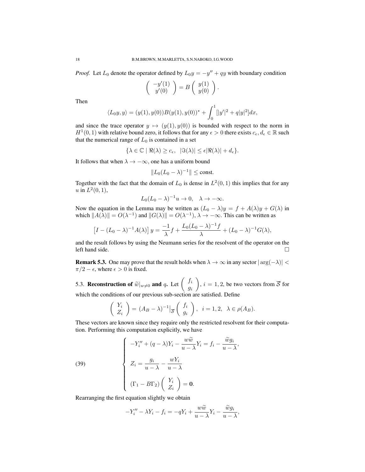*Proof.* Let  $L_0$  denote the operator defined by  $L_0y = -y'' + qy$  with boundary condition

$$
\left(\begin{array}{c} -y'(1) \\ y'(0) \end{array}\right) = B \left(\begin{array}{c} y(1) \\ y(0) \end{array}\right).
$$

Then

$$
\langle L_0y, y \rangle = (y(1), y(0))B(y(1), y(0))^* + \int_0^1 [|y'|^2 + q|y|^2]dx,
$$

and since the trace operator  $y \mapsto (y(1), y(0))$  is bounded with respect to the norm in  $H^1(0, 1)$  with relative bound zero, it follows that for any  $\epsilon > 0$  there exists  $c_{\epsilon}, d_{\epsilon} \in \mathbb{R}$  such that the numerical range of  $L_0$  is contained in a set

$$
\{\lambda \in \mathbb{C} \mid \Re(\lambda) \ge c_{\epsilon}, \ \ |\Im(\lambda)| \le \epsilon |\Re(\lambda)| + d_{\epsilon}\}.
$$

It follows that when  $\lambda \to -\infty$ , one has a uniform bound

$$
||L_0(L_0 - \lambda)^{-1}|| \le \text{const.}
$$

Together with the fact that the domain of  $L_0$  is dense in  $L^2(0,1)$  this implies that for any *u* in  $L^2(0, 1)$ ,

$$
L_0(L_0 - \lambda)^{-1}u \to 0, \quad \lambda \to -\infty.
$$

Now the equation in the Lemma may be written as  $(L_0 - \lambda)y = f + A(\lambda)y + G(\lambda)$  in which  $||A(\lambda)|| = O(\lambda^{-1})$  and  $||G(\lambda)|| = O(\lambda^{-1}), \lambda \to -\infty$ . This can be written as

$$
\[I - (L_0 - \lambda)^{-1}A(\lambda)\]y = \frac{-1}{\lambda}f + \frac{L_0(L_0 - \lambda)^{-1}f}{\lambda} + (L_0 - \lambda)^{-1}G(\lambda),\]
$$

and the result follows by using the Neumann series for the resolvent of the operator on the left hand side. □

**Remark 5.3.** One may prove that the result holds when  $\lambda \to \infty$  in any sector  $|\arg(-\lambda)| < \infty$  $\pi/2 - \epsilon$ , where  $\epsilon > 0$  is fixed.

5.3. Reconstruction of  $\widetilde{w}|_{w\neq0}$  and q. Let  $\begin{pmatrix} f_i \\ g_i \end{pmatrix}$ gi  $\overline{ }$ ,  $i = 1, 2$ , be two vectors from S for which the conditions of our previous sub-section are satisfied. Define

$$
\begin{pmatrix} Y_i \\ Z_i \end{pmatrix} = (A_B - \lambda)^{-1} \Big|_{\overline{\mathcal{S}}} \begin{pmatrix} f_i \\ g_i \end{pmatrix}, \ i = 1, 2, \ \lambda \in \rho(A_B).
$$

These vectors are known since they require only the restricted resolvent for their computation. Performing this computation explicitly, we have

,

(39)  

$$
\begin{cases}\n-Y_i'' + (q - \lambda)Y_i - \frac{w\widetilde{w}}{u - \lambda}Y_i = f_i - \frac{\widetilde{w}g_i}{u - \lambda} \\
Z_i = \frac{g_i}{u - \lambda} - \frac{wY_i}{u - \lambda} \\
(\Gamma_1 - B\Gamma_2) \begin{pmatrix} Y_i \\ Z_i \end{pmatrix} = \mathbf{0}.\n\end{cases}
$$

Rearranging the first equation slightly we obtain

$$
-Y''_i - \lambda Y_i - f_i = -qY_i + \frac{w\widetilde{w}}{u - \lambda}Y_i - \frac{\widetilde{w}g_i}{u - \lambda},
$$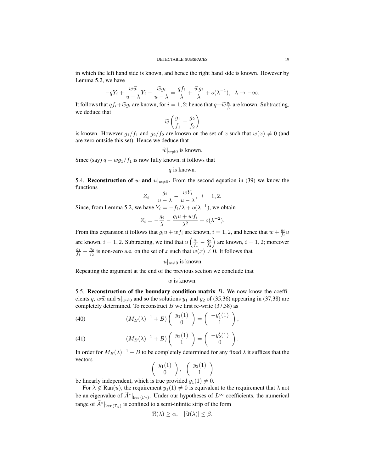in which the left hand side is known, and hence the right hand side is known. However by Lemma 5.2, we have

$$
-qY_i + \frac{w\widetilde{w}}{u-\lambda}Y_i - \frac{\widetilde{w}g_i}{u-\lambda} = \frac{qf_i}{\lambda} + \frac{\widetilde{w}g_i}{\lambda} + o(\lambda^{-1}), \quad \lambda \to -\infty.
$$

It follows that  $qf_i + \widetilde{w}g_i$  are known, for  $i = 1, 2$ ; hence that  $q + \widetilde{w}^{g_i}f_i$  are known. Subtracting, we deduce that

$$
\widetilde{w}\left(\frac{g_1}{f_1}-\frac{g_2}{f_2}\right)
$$

is known. However  $g_1/f_1$  and  $g_2/f_2$  are known on the set of x such that  $w(x) \neq 0$  (and are zero outside this set). Hence we deduce that

$$
\widetilde{w}|_{w\neq 0}
$$
 is known.

Since (say)  $q + wg_1/f_1$  is now fully known, it follows that

q is known.

5.4. Reconstruction of w and  $u|_{w\neq0}$ . From the second equation in (39) we know the functions

$$
Z_i = \frac{g_i}{u - \lambda} - \frac{wY_i}{u - \lambda}, \ \ i = 1, 2.
$$

Since, from Lemma 5.2, we have  $Y_i = -f_i/\lambda + o(\lambda^{-1})$ , we obtain

$$
Z_i = -\frac{g_i}{\lambda} - \frac{g_i u + w f_i}{\lambda^2} + o(\lambda^{-2}).
$$

From this expansion it follows that  $g_i u + w f_i$  are known,  $i = 1, 2$ , and hence that  $w + \frac{g_i}{f_i} u$ are known,  $i = 1, 2$ . Subtracting, we find that  $u\left(\frac{g_1}{f_1} - \frac{g_2}{f_2}\right)$ are known,  $i = 1, 2$ ; moreover  $\frac{g_1}{f_1} - \frac{g_2}{f_2}$  is non-zero a.e. on the set of x such that  $w(x) \neq 0$ . It follows that

$$
u|_{w\neq 0}
$$
 is known.

Repeating the argument at the end of the previous section we conclude that

#### $w$  is known.

5.5. Reconstruction of the boundary condition matrix  $B$ . We now know the coefficients q,  $w\tilde{w}$  and  $u|_{w\neq0}$  and so the solutions  $y_1$  and  $y_2$  of (35,36) appearing in (37,38) are completely determined. To reconstruct  $B$  we first re-write (37,38) as

(40) 
$$
(M_B(\lambda)^{-1} + B) \begin{pmatrix} y_1(1) \\ 0 \end{pmatrix} = \begin{pmatrix} -y'_1(1) \\ 1 \end{pmatrix},
$$

(41) 
$$
(M_B(\lambda)^{-1} + B) \begin{pmatrix} y_2(1) \\ 1 \end{pmatrix} = \begin{pmatrix} -y_2'(1) \\ 0 \end{pmatrix}.
$$

In order for  $M_B(\lambda)^{-1} + B$  to be completely determined for any fixed  $\lambda$  it suffices that the vectors  $\overline{ }$ 

$$
\left(\begin{array}{c}y_1(1)\\0\end{array}\right),\quad \left(\begin{array}{c}y_2(1)\\1\end{array}\right)
$$

be linearly independent, which is true provided  $y_1(1) \neq 0$ .

For  $\lambda \notin \text{Ran}(u)$ , the requirement  $y_1(1) \neq 0$  is equivalent to the requirement that  $\lambda$  not be an eigenvalue of  $\hat{A}^*|_{\text{ker }(\Gamma_2)}$ . Under our hypotheses of  $L^{\infty}$  coefficients, the numerical range of  $\hat{A}^*|_{\text{ker }(\Gamma_2)}$  is confined to a semi-infinite strip of the form

$$
\Re(\lambda) \ge \alpha, \quad |\Im(\lambda)| \le \beta.
$$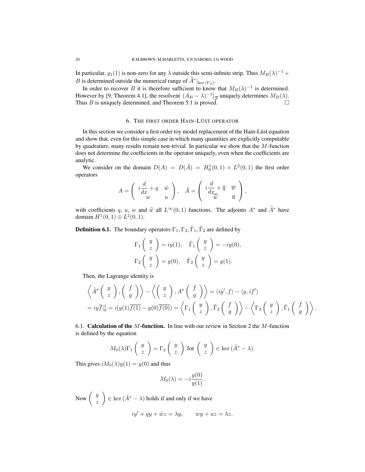In particular,  $y_1(1)$  is non-zero for any  $\lambda$  outside this semi-infinite strip. Thus  $M_B(\lambda)^{-1}$  + B is determined outside the numerical range of  $\tilde{A}^*|_{\text{ker }(\Gamma_2)}$ .

In order to recover B it is therefore sufficient to know that  $M_B(\lambda)^{-1}$  is determined. However by [9, Theorem 4.1], the resolvent  $(A_B - \lambda)^{-1}$   $\Big|_{\mathcal{S}}$  uniquely determines  $M_B(\lambda)$ . Thus B is uniquely determined, and Theorem 5.1 is proved.

#### 6. THE FIRST ORDER HAIN-LÜST OPERATOR

In this section we consider a first order toy model replacement of the Hain-Lüst equation and show that, even for this simple case in which many quantities are explicitly computable by quadrature, many results remain non-trivial. In particular we show that the M-function does not determine the coefficients in the operator uniquely, even when the coefficients are analytic.

We consider on the domain  $D(A) = D(\tilde{A}) = H_0^1(0,1) \times L^2(0,1)$  the first order operators

$$
A = \begin{pmatrix} i\frac{d}{dx} + q & \tilde{w} \\ w & u \end{pmatrix}, \quad \tilde{A} = \begin{pmatrix} i\frac{d}{dx} + \overline{q} & \overline{w} \\ \tilde{w} & \overline{u} \end{pmatrix},
$$

with coefficients q, u, w and  $\tilde{w}$  all  $L^{\infty}(0, 1)$  functions. The adjoints  $A^*$  and  $\tilde{A}^*$  have domain  $H^1(0, 1) \oplus L^2(0, 1)$ .

**Definition 6.1.** The boundary operators  $\Gamma_1, \Gamma_2, \tilde{\Gamma}_1, \tilde{\Gamma}_2$  are defined by

$$
\Gamma_1\left(\begin{array}{c}y\\z\end{array}\right) = iy(1), \quad \tilde{\Gamma}_1\left(\begin{array}{c}y\\z\end{array}\right) = -iy(0),
$$

$$
\Gamma_2\left(\begin{array}{c}y\\z\end{array}\right) = y(0), \quad \tilde{\Gamma}_2\left(\begin{array}{c}y\\z\end{array}\right) = y(1).
$$

Then, the Lagrange identity is

$$
\left\langle \tilde{A}^{\star} \left( \begin{array}{c} y \\ z \end{array} \right), \left( \begin{array}{c} f \\ g \end{array} \right) \right\rangle - \left\langle \left( \begin{array}{c} y \\ z \end{array} \right), A^{\star} \left( \begin{array}{c} f \\ g \end{array} \right) \right\rangle = \langle iy', f \rangle - \langle y, if' \rangle
$$
  
=  $iy\overline{f}|_0^1 = i(y(1)\overline{f(1)} - y(0)\overline{f(0)}) = \left\langle \Gamma_1 \left( \begin{array}{c} y \\ z \end{array} \right), \tilde{\Gamma}_2 \left( \begin{array}{c} f \\ g \end{array} \right) \right\rangle - \left\langle \Gamma_2 \left( \begin{array}{c} y \\ z \end{array} \right), \tilde{\Gamma}_1 \left( \begin{array}{c} f \\ g \end{array} \right) \right\rangle.$ 

6.1. **Calculation of the M-function.** In line with our review in Section 2 the M-function is defined by the equation

$$
M_0(\lambda)\Gamma_1\begin{pmatrix}y\\z\end{pmatrix} = \Gamma_2\begin{pmatrix}y\\z\end{pmatrix}
$$
 for  $\begin{pmatrix}y\\z\end{pmatrix} \in \text{ker}(\tilde{A}^* - \lambda).$ 

This gives  $iM_0(\lambda)y(1) = y(0)$  and thus

$$
M_0(\lambda) = -i \frac{y(0)}{y(1)}.
$$

Now  $\left( \begin{array}{c} y \\ y \end{array} \right)$ z  $\Big) \in \ker (\tilde{A}^* - \lambda)$  holds if and only if we have  $iv' + qy + \tilde{w}z = \lambda y, \qquad w\overline{y} + u\overline{z} = \lambda z.$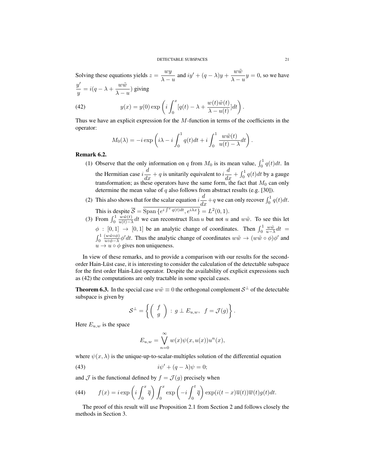#### DETECTABLE SUBSPACES 21

Solving these equations yields  $z = \frac{wy}{\lambda}$  $\frac{wy}{\lambda - u}$  and  $iy' + (q - \lambda)y + \frac{w\tilde{w}}{\lambda - y}$  $\frac{\partial u}{\partial x}$  = 0, so we have  $y'$  $\frac{y'}{y} = i(q - \lambda + \frac{w\tilde{w}}{\lambda - \lambda})$  $\frac{\alpha}{\lambda - u}$ ) giving (42)  $y(x) = y(0) \exp\left(i\right)$  $\int_0^x$ 0  $[q(t) - \lambda + \frac{w(t)\tilde{w}(t)}{\lambda}$  $\frac{w(t)\tilde{w}(t)}{\lambda - u(t)}]dt$ .

Thus we have an explicit expression for the M-function in terms of the coefficients in the operator:

$$
M_0(\lambda) = -i \exp\left(i\lambda - i \int_0^1 q(t)dt + i \int_0^1 \frac{w\tilde{w}(t)}{u(t) - \lambda}dt\right).
$$

#### Remark 6.2.

- (1) Observe that the only information on q from  $M_0$  is its mean value,  $\int_0^1 q(t)dt$ . In the Hermitian case  $i\frac{d}{dx} + q$  is unitarily equivalent to  $i\frac{d}{dx} + \int_0^1 q(t)dt$  by a gauge transformation; as these operators have the same form, the fact that  $M_0$  can only determine the mean value of  $q$  also follows from abstract results (e.g. [30]).
- (2) This also shows that for the scalar equation  $i\frac{d}{dx} + q$  we can only recover  $\int_0^1 q(t)dt$ . This is despite  $\overline{S} = \overline{\text{Span} \{e^{i \int^x q(t) dt}, e^{i \lambda x} \}} = L^2(0, 1)$ .
- (3) From  $\int_0^1$  $w\tilde{w}(t)$  $\frac{w w(t)}{u(t)-\lambda} dt$  we can reconstruct Ran u but not u and w $\tilde{w}$ . To see this let  $\phi$  : [0, 1]  $\rightarrow$  [0, 1] be an analytic change of coordinates. Then  $\int_0^1 \frac{w\tilde{w}}{u-\lambda} dt =$  $\int_0^1$  $(w\tilde{w} \circ \phi)$  $\frac{(ww\omega\phi)}{uv\phi-\lambda}\phi' dt$ . Thus the analytic change of coordinates  $w\tilde{w} \to (w\tilde{w} \circ \phi)\phi'$  and  $u \rightarrow u \circ \phi$  gives non uniqueness.

In view of these remarks, and to provide a comparison with our results for the secondorder Hain-Lust case, it is interesting to consider the calculation of the detectable subspace ¨ for the first order Hain-Lüst operator. Despite the availability of explicit expressions such as (42) the computations are only tractable in some special cases.

**Theorem 6.3.** In the special case  $w\tilde{w} \equiv 0$  the orthogonal complement  $S^{\perp}$  of the detectable subspace is given by

$$
\mathcal{S}^{\perp} = \left\{ \left( \begin{array}{c} f \\ g \end{array} \right) : g \perp E_{u,w}, f = \mathcal{J}(g) \right\}.
$$

Here  $E_{u,w}$  is the space

$$
E_{u,w} = \bigvee_{n=0}^{\infty} w(x)\psi(x,u(x))u^{n}(x),
$$

where  $\psi(x, \lambda)$  is the unique-up-to-scalar-multiples solution of the differential equation

$$
(43) \t\t\t\ti\psi' + (q - \lambda)\psi = 0;
$$

and  $\mathcal J$  is the functional defined by  $f = \mathcal J(g)$  precisely when

(44) 
$$
f(x) = i \exp\left(i \int_0^x \overline{q}\right) \int_0^x \exp\left(-i \int_0^t \overline{q}\right) \exp(i(t-x)\overline{u}(t)) \overline{w}(t) g(t) dt.
$$

The proof of this result will use Proposition 2.1 from Section 2 and follows closely the methods in Section 3.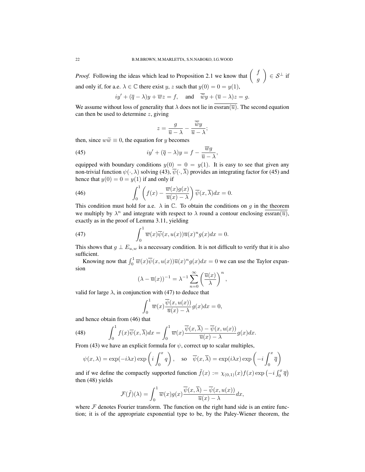*Proof.* Following the ideas which lead to Proposition 2.1 we know that  $\begin{pmatrix} f & f \\ g & g \end{pmatrix}$ g  $\Big) \in \mathcal{S}^{\perp}$  if and only if, for a.e.  $\lambda \in \mathbb{C}$  there exist y, z such that  $y(0) = 0 = y(1)$ ,

$$
iy' + (\overline{q} - \lambda)y + \overline{w}z = f
$$
, and  $\overline{\widetilde{w}}y + (\overline{u} - \lambda)z = g$ .

We assume without loss of generality that  $\lambda$  does not lie in essran( $\overline{u}$ ). The second equation can then be used to determine  $z$ , giving

$$
z = \frac{g}{\overline{u} - \lambda} - \frac{\overline{\widetilde{w}}y}{\overline{u} - \lambda};
$$

then, since  $w\tilde{w} \equiv 0$ , the equation for y becomes

(45) 
$$
iy' + (\overline{q} - \lambda)y = f - \frac{\overline{w}g}{\overline{u} - \lambda},
$$

equipped with boundary conditions  $y(0) = 0 = y(1)$ . It is easy to see that given any non-trivial function  $\psi(\cdot, \lambda)$  solving (43),  $\overline{\psi}(\cdot, \overline{\lambda})$  provides an integrating factor for (45) and hence that  $y(0) = 0 = y(1)$  if and only if

(46) 
$$
\int_0^1 \left( f(x) - \frac{\overline{w}(x)g(x)}{\overline{u}(x) - \lambda} \right) \overline{\psi}(x, \overline{\lambda}) dx = 0.
$$

This condition must hold for a.e.  $\lambda$  in  $\mathbb{C}$ . To obtain the conditions on g in the theorem we multiply by  $\lambda^n$  and integrate with respect to  $\lambda$  round a contour enclosing  $\overline{\text{essran}(\overline{u})}$ , exactly as in the proof of Lemma 3.11, yielding

(47) 
$$
\int_0^1 \overline{w}(x)\overline{\psi}(x,u(x))\overline{u}(x)^n g(x)dx = 0.
$$

This shows that  $g \perp E_{u,w}$  is a necessary condition. It is not difficult to verify that it is also sufficient.

Knowing now that  $\int_0^1 \overline{w}(x)\overline{\psi}(x, u(x))\overline{u}(x)^n g(x)dx = 0$  we can use the Taylor expansion

$$
(\lambda - \overline{u}(x))^{-1} = \lambda^{-1} \sum_{n=0}^{\infty} \left( \frac{\overline{u}(x)}{\lambda} \right)^n,
$$

valid for large  $\lambda$ , in conjunction with (47) to deduce that

$$
\int_0^1 \overline{w}(x) \frac{\overline{\psi}(x, u(x))}{\overline{u}(x) - \lambda} g(x) dx = 0,
$$

and hence obtain from (46) that

(48) 
$$
\int_0^1 f(x)\overline{\psi}(x,\overline{\lambda})dx = \int_0^1 \overline{w}(x)\frac{\overline{\psi}(x,\overline{\lambda}) - \overline{\psi}(x,u(x))}{\overline{u}(x) - \lambda}g(x)dx.
$$

From (43) we have an explicit formula for  $\psi$ , correct up to scalar multiples,

$$
\psi(x,\lambda) = \exp(-i\lambda x) \exp\left(i \int_0^x q\right), \quad \text{so} \quad \overline{\psi}(x,\overline{\lambda}) = \exp(i\lambda x) \exp\left(-i \int_0^x \overline{q}\right)
$$

and if we define the compactly supported function  $\tilde{f}(x) := \chi_{(0,1)}(x) f(x) \exp(-i \int_0^x \overline{q})$ then (48) yields

$$
\mathcal{F}(\tilde{f})(\lambda) = \int_0^1 \overline{w}(x)g(x)\frac{\overline{\psi}(x,\overline{\lambda}) - \overline{\psi}(x,u(x))}{\overline{u}(x) - \lambda}dx,
$$

where  $F$  denotes Fourier transform. The function on the right hand side is an entire function; it is of the appropriate exponential type to be, by the Paley-Wiener theorem, the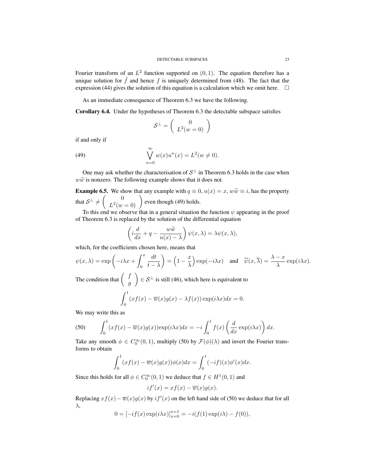Fourier transform of an  $L^2$  function supported on  $(0, 1)$ . The equation therefore has a unique solution for  $\tilde{f}$  and hence f is uniquely determined from (48). The fact that the expression (44) gives the solution of this equation is a calculation which we omit here.  $\square$ 

As an immediate consequence of Theorem 6.3 we have the following.

Corollary 6.4. Under the hypotheses of Theorem 6.3 the detectable subspace satisfies

$$
\mathcal{S}^{\perp} = \left( \begin{array}{c} 0 \\ L^2(w=0) \end{array} \right)
$$

if and only if

(49) 
$$
\bigvee_{n=0}^{\infty} w(x)u^{n}(x) = L^{2}(w \neq 0).
$$

One may ask whether the characterisation of  $S^{\perp}$  in Theorem 6.3 holds in the case when  $w\tilde{w}$  is nonzero. The following example shows that it does not.

**Example 6.5.** We show that any example with  $q \equiv 0$ ,  $u(x) = x$ ,  $w\tilde{w} \equiv i$ , has the property that  $S^{\perp} \neq \begin{pmatrix} 0 \\ 12\sqrt{3}i \end{pmatrix}$  $\begin{pmatrix} 0 \\ L^2(w=0) \end{pmatrix}$  even though (49) holds.

To this end we observe that in a general situation the function  $\psi$  appearing in the proof of Theorem 6.3 is replaced by the solution of the differential equation

$$
\left(i\frac{d}{dx} + q - \frac{w\widetilde{w}}{u(x) - \lambda}\right)\psi(x, \lambda) = \lambda\psi(x, \lambda),
$$

which, for the coefficients chosen here, means that

$$
\psi(x,\lambda) = \exp\left(-i\lambda x + \int_0^x \frac{dt}{t-\lambda}\right) = \left(1 - \frac{x}{\lambda}\right) \exp(-i\lambda x) \quad \text{and} \quad \overline{\psi}(x,\overline{\lambda}) = \frac{\lambda - x}{\lambda} \exp(i\lambda x).
$$
  
The condition that  $\left(\begin{array}{c} f \\ g \end{array}\right) \in \mathcal{S}^\perp$  is still (46), which here is equivalent to

$$
\int_0^{\infty} (xf(x) - \overline{w}(x)g(x) - \lambda f(x)) \exp(i\lambda x) dx = 0.
$$

We may write this as

(50) 
$$
\int_0^1 (xf(x) - \overline{w}(x)g(x)) \exp(i\lambda x) dx = -i \int_0^1 f(x) \left(\frac{d}{dx} \exp(i\lambda x)\right) dx.
$$

Take any smooth  $\phi \in C_0^{\infty}(0,1)$ , multiply (50) by  $\mathcal{F}(\phi)(\lambda)$  and invert the Fourier transforms to obtain

$$
\int_0^1 (xf(x) - \overline{w}(x)g(x))\phi(x)dx = \int_0^1 (-if)(x)\phi'(x)dx.
$$

Since this holds for all  $\phi \in C_0^{\infty}(0,1)$  we deduce that  $f \in H^1(0,1)$  and

$$
if'(x) = xf(x) - \overline{w}(x)g(x).
$$

Replacing  $xf(x) - \overline{w}(x)g(x)$  by  $if'(x)$  on the left hand side of (50) we deduce that for all λ,

$$
0 = [-if(x) \exp(i\lambda x)]_{x=0}^{x=1} = -i(f(1) \exp(i\lambda) - f(0)),
$$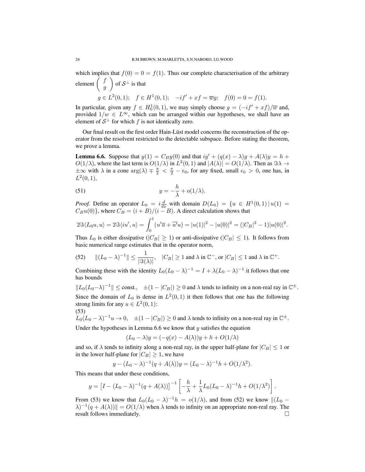which implies that  $f(0) = 0 = f(1)$ . Thus our complete characterisation of the arbitrary element  $\int_{a}^{f}$ g  $\setminus$ of  $S^{\perp}$  is that  $g \in L^2(0,1);$   $f \in H^1(0,1);$   $-i f' + xf = \overline{w}g;$   $f(0) = 0 = f(1).$ 

In particular, given any  $f \in H_0^1(0,1)$ , we may simply choose  $g = (-if' + xf)/\overline{w}$  and, provided  $1/w \in L^{\infty}$ , which can be arranged within our hypotheses, we shall have an element of  $S^{\perp}$  for which f is not identically zero.

Our final result on the first order Hain-Lüst model concerns the reconstruction of the operator from the resolvent restricted to the detectable subspace. Before stating the theorem, we prove a lemma.

**Lemma 6.6.** Suppose that  $y(1) = C_By(0)$  and that  $iy' + (q(x) - \lambda)y + A(\lambda)y = h +$  $O(1/\lambda)$ , where the last term is  $O(1/\lambda)$  in  $L^2(0,1)$  and  $|A(\lambda)| = O(1/\lambda)$ . Then as  $\Im \lambda \to$  $\pm\infty$  with  $\lambda$  in a cone  $\arg(\lambda) \mp \frac{\pi}{2} < \frac{\pi}{2} - \epsilon_0$ , for any fixed, small  $\epsilon_0 > 0$ , one has, in  $L^2(0,1),$ 

(51) 
$$
y = -\frac{h}{\lambda} + o(1/\lambda).
$$

*Proof.* Define an operator  $L_0 = i \frac{d}{dx}$  with domain  $D(L_0) = \{u \in H^1(0,1) | u(1) =$  $C_Bu(0)$ }, where  $C_B = (i + B)/(i - B)$ . A direct calculation shows that

$$
2\Im\langle L_0 u, u \rangle = 2\Im\langle i u', u \rangle = \int_0^1 (u'\overline{u} + \overline{u'}u) = |u(1)|^2 - |u(0)|^2 = (|C_B|^2 - 1)|u(0)|^2.
$$

Thus  $L_0$  is either dissipative ( $|C_B| \ge 1$ ) or anti-dissipative ( $|C_B| \le 1$ ). It follows from basic numerical range estimates that in the operator norm,

(52) 
$$
\|(L_0 - \lambda)^{-1}\| \le \frac{1}{|\Im(\lambda)|}, \quad |C_B| \ge 1 \text{ and } \lambda \text{ in } \mathbb{C}^-, \text{ or } |C_B| \le 1 \text{ and } \lambda \text{ in } \mathbb{C}^+.
$$

Combining these with the identity  $L_0(L_0 - \lambda)^{-1} = I + \lambda(L_0 - \lambda)^{-1}$  it follows that one has bounds

$$
||L_0(L_0-\lambda)^{-1}|| \leq \text{const.}, \pm (1-|C_B|) \geq 0
$$
 and  $\lambda$  tends to infinity on a non-real ray in  $\mathbb{C}^{\pm}$ . Since the domain of  $L_0$  is dense in  $L^2(0,1)$  it then follows that one has the following strong limits for any  $u \in L^2(0,1)$ :  $(53)$ 

 $L_0(L_0 - \lambda)^{-1}u \to 0$ ,  $\pm (1 - |C_B|) \ge 0$  and  $\lambda$  tends to infinity on a non-real ray in  $\mathbb{C}^{\pm}$ . Under the hypotheses in Lemma 6.6 we know that  $y$  satisfies the equation

$$
(L_0 - \lambda)y = (-q(x) - A(\lambda))y + h + O(1/\lambda)
$$

and so, if  $\lambda$  tends to infinity along a non-real ray, in the upper half-plane for  $|C_B| \leq 1$  or in the lower half-plane for  $|C_B| \geq 1$ , we have

$$
y - (L_0 - \lambda)^{-1} (q + A(\lambda))y = (L_0 - \lambda)^{-1} h + O(1/\lambda^2).
$$

This means that under these conditions,

$$
y = \left[I - (L_0 - \lambda)^{-1}(q + A(\lambda))\right]^{-1} \left[-\frac{h}{\lambda} + \frac{1}{\lambda}L_0(L_0 - \lambda)^{-1}h + O(1/\lambda^2)\right].
$$

From (53) we know that  $L_0(L_0 - \lambda)^{-1}h = o(1/\lambda)$ , and from (52) we know  $\|(L_0 - \lambda)^{-1}h\|$  $\lambda^{-1}(q + A(\lambda))$  =  $O(1/\lambda)$  when  $\lambda$  tends to infinity on an appropriate non-real ray. The result follows immediately.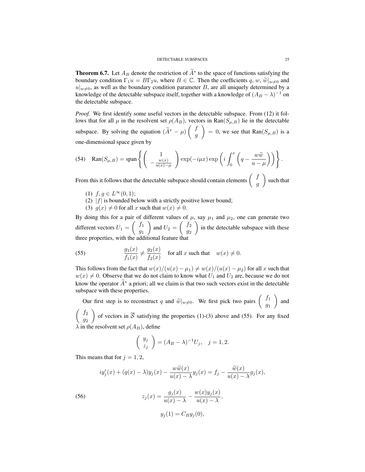**Theorem 6.7.** Let  $A_B$  denote the restriction of  $A^*$  to the space of functions satisfying the boundary condition  $\Gamma_1 u = B\Gamma_2 u$ , where  $B \in \mathbb{C}$ . Then the coefficients q, w,  $\widetilde{w}|_{w\neq0}$  and  $u|_{w\neq0}$ , as well as the boundary condition parameter B, are all uniquely determined by a knowledge of the detectable subspace itself, together with a knowledge of  $(A_B - \lambda)^{-1}$  on the detectable subspace.

*Proof.* We first identify some useful vectors in the detectable subspace. From (12) it follows that for all  $\mu$  in the resolvent set  $\rho(A_B)$ , vectors in Ran $(S_{\mu,B})$  lie in the detectable subspace. By solving the equation  $(\widetilde{A}^* - \mu) \begin{pmatrix} f \\ 0 \end{pmatrix}$ g  $\setminus$  $= 0$ , we see that  $\text{Ran}(S_{\mu,B})$  is a one-dimensional space given by

(54) 
$$
Ran(S_{\mu,B}) = \text{span}\left\{ \left( \begin{array}{c} 1 \\ -\frac{w(x)}{u(x)-\mu} \end{array} \right) \exp(-i\mu x) \exp\left(i \int_0^x \left( q - \frac{w\widetilde{w}}{u-\mu} \right) \right) \right\}.
$$

From this it follows that the detectable subspace should contain elements  $\begin{pmatrix} f & f \\ g & g \end{pmatrix}$ g  $\setminus$ such that

- (1)  $f, g \in L^{\infty}(0, 1);$
- (2)  $|f|$  is bounded below with a strictly positive lower bound;
- (3)  $q(x) \neq 0$  for all x such that  $w(x) \neq 0$ .

By doing this for a pair of different values of  $\mu$ , say  $\mu_1$  and  $\mu_2$ , one can generate two different vectors  $U_1 =$  $\int f_1$  $\overline{g}_1$  $\overline{\phantom{0}}$ and  $U_2 =$  $\int f_2$  $\overline{g_2}$  $\overline{ }$ in the detectable subspace with these three properties, with the additional feature that

(55) 
$$
\frac{g_1(x)}{f_1(x)} \neq \frac{g_2(x)}{f_2(x)} \quad \text{for all } x \text{ such that } w(x) \neq 0.
$$

This follows from the fact that  $w(x)/(u(x) - \mu_1) \neq w(x)/(u(x) - \mu_2)$  for all x such that  $w(x) \neq 0$ . Observe that we do not claim to know what  $U_1$  and  $U_2$  are, because we do not know the operator  $\hat{A}^*$  a priori; all we claim is that two such vectors exist in the detectable subspace with these properties.

Our first step is to reconstruct q and  $\widetilde{w}|_{w\neq0}$ . We first pick two pairs  $\begin{pmatrix} f_1 \\ g_1 \end{pmatrix}$  $\overline{g}_1$  $\overline{ }$ and  $\int f_2$  $\overline{g_2}$  $\setminus$ of vectors in S satisfying the properties  $(1)-(3)$  above and  $(55)$ . For any fixed

 $\lambda$  in the resolvent set  $\rho(A_B)$ , define

$$
\left(\begin{array}{c}y_j\\z_j\end{array}\right)=(A_B-\lambda)^{-1}U_j,\quad j=1,2.
$$

This means that for  $j = 1, 2$ ,

$$
iy'_j(x) + (q(x) - \lambda)y_j(x) - \frac{w\widetilde{w}(x)}{u(x) - \lambda}y_j(x) = f_j - \frac{\widetilde{w}(x)}{u(x) - \lambda}g_j(x),
$$

(56) 
$$
z_j(x) = \frac{g_j(x)}{u(x) - \lambda} - \frac{w(x)y_j(x)}{u(x) - \lambda},
$$

$$
y_j(1) = C_B y_j(0),
$$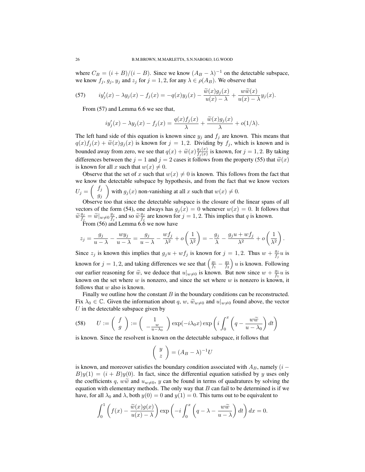where  $C_B = (i + B)/(i - B)$ . Since we know  $(A_B - \lambda)^{-1}$  on the detectable subspace, we know  $f_j, g_j, y_j$  and  $z_j$  for  $j = 1, 2$ , for any  $\lambda \in \rho(A_B)$ . We observe that

(57) 
$$
iy_j'(x) - \lambda y_j(x) - f_j(x) = -q(x)y_j(x) - \frac{\widetilde{w}(x)g_j(x)}{u(x) - \lambda} + \frac{w\widetilde{w}(x)}{u(x) - \lambda}y_j(x).
$$

From (57) and Lemma 6.6 we see that,

$$
iy'_j(x) - \lambda y_j(x) - f_j(x) = \frac{q(x)f_j(x)}{\lambda} + \frac{\widetilde{w}(x)g_j(x)}{\lambda} + o(1/\lambda).
$$

The left hand side of this equation is known since  $y_i$  and  $f_i$  are known. This means that  $q(x)f_j(x) + \widetilde{w}(x)g_j(x)$  is known for  $j = 1, 2$ . Dividing by  $f_j$ , which is known and is bounded away from zero, we see that  $q(x) + \widetilde{w}(x) \frac{g_j(x)}{f_j(x)}$  $\frac{g_j(x)}{f_j(x)}$  is known, for  $j = 1, 2$ . By taking differences between the  $j = 1$  and  $j = 2$  cases it follows from the property (55) that  $\widetilde{w}(x)$ is known for all x such that  $w(x) \neq 0$ .

Observe that the set of x such that  $w(x) \neq 0$  is known. This follows from the fact that we know the detectable subspace by hypothesis, and from the fact that we know vectors  $U_j =$  $\int f_j$  $g_j$  $\setminus$ with  $g_j(x)$  non-vanishing at all x such that  $w(x) \neq 0$ .

Observe too that since the detectable subspace is the closure of the linear spans of all vectors of the form (54), one always has  $g_i(x) = 0$  whenever  $w(x) = 0$ . It follows that  $\widetilde{w}\frac{g_j}{f_j}$  $\frac{g_j}{f_j} = \widetilde{w}|_{w \neq 0} \frac{g_j}{f_j}$  $\frac{g_j}{f_j}$ , and so  $\widetilde{w} \frac{g_j}{f_j}$  $\frac{g_j}{f_j}$  are known for  $j = 1, 2$ . This implies that q is known. From (56) and Lemma  $6.\dot{6}$  we now have

$$
z_j = \frac{g_j}{u - \lambda} - \frac{wy_j}{u - \lambda} = \frac{g_j}{u - \lambda} - \frac{wf_j}{\lambda^2} + o\left(\frac{1}{\lambda^2}\right) = -\frac{g_j}{\lambda} - \frac{g_j u + wf_j}{\lambda^2} + o\left(\frac{1}{\lambda^2}\right).
$$

Since  $z_j$  is known this implies that  $g_j u + w f_j$  is known for  $j = 1, 2$ . Thus  $w + \frac{g_j}{f_j}$  $\frac{g_j}{f_j}u$  is known for  $j = 1, 2$ , and taking differences we see that  $\left(\frac{g_1}{f_1} - \frac{g_2}{f_2}\right)$  $\int u$  is known. Following our earlier reasoning for  $\tilde{w}$ , we deduce that  $u|_{w\neq 0}$  is known. But now since  $w + \frac{g_1}{f_1}u$  is known on the set where  $w$  is nonzero, and since the set where  $w$  is nonzero is known, it follows that  $w$  also is known.

Finally we outline how the constant  $B$  in the boundary conditions can be reconstructed. Fix  $\lambda_0 \in \mathbb{C}$ . Given the information about q, w,  $\widetilde{w}_{w\neq0}$  and  $u|_{w\neq0}$  found above, the vector  $U$  in the detectable subspace given by

(58) 
$$
U := \begin{pmatrix} f \\ g \end{pmatrix} := \begin{pmatrix} 1 \\ -\frac{w}{u - \lambda_0} \end{pmatrix} \exp(-i\lambda_0 x) \exp\left(i \int_0^x \left(q - \frac{w\widetilde{w}}{u - \lambda_0}\right) dt\right)
$$

is known. Since the resolvent is known on the detectable subspace, it follows that

$$
\left(\begin{array}{c} y \\ z \end{array}\right) = (A_B - \lambda)^{-1}U
$$

is known, and moreover satisfies the boundary condition associated with  $A_B$ , namely (i –  $B(y(1) = (i + B)y(0)$ . In fact, since the differential equation satisfied by y uses only the coefficients q,  $w\tilde{w}$  and  $u_{w\neq0}$ , y can be found in terms of quadratures by solving the equation with elementary methods. The only way that  $B$  can fail to be determined is if we have, for all  $\lambda_0$  and  $\lambda$ , both  $y(0) = 0$  and  $y(1) = 0$ . This turns out to be equivalent to

$$
\int_0^1 \left( f(x) - \frac{\widetilde{w}(x)g(x)}{u(x) - \lambda} \right) \exp\left( -i \int_0^x \left( q - \lambda - \frac{w\widetilde{w}}{u - \lambda} \right) dt \right) dx = 0.
$$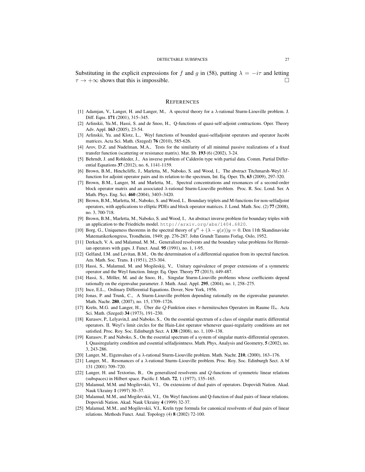Substituting in the explicit expressions for f and g in (58), putting  $\lambda = -i\tau$  and letting  $\tau \to +\infty$  shows that this is impossible.

#### **REFERENCES**

- [1] Adamjan, V., Langer, H. and Langer, M., A spectral theory for a λ-rational Sturm-Liouville problem. J. Diff. Eqns. 171 (2001), 315–345.
- [2] Arlinskii, Yu.M., Hassi, S. and de Snoo, H., Q-functions of quasi-self-adjoint contractions. Oper. Theory Adv. Appl. 163 (2005), 23-54.
- [3] Arlinskii, Yu. and Klotz, L., Weyl functions of bounded quasi-selfadjoint operators and operator Jacobi matrices. Acta Sci. Math. (Szeged) 76 (2010), 585-626.
- [4] Arov, D.Z. and Nudelman, M.A., Tests for the similarity of all minimal passive realizations of a fixed transfer function (scattering or resistance matrix). Mat. Sb. 193 (6) (2002), 3-24.
- [5] Behrndt, J. and Rohleder, J., An inverse problem of Calderón type with partial data. Comm. Partial Differential Equations 37 (2012), no. 6, 1141-1159.
- [6] Brown, B.M., Hinchcliffe, J., Marletta, M., Naboko, S. and Wood, I., The abstract Titchmarsh-Weyl Mfunction for adjoint operator pairs and its relation to the spectrum, Int. Eq. Oper. Th, 63 (2009), 297-320.
- [7] Brown, B.M., Langer, M. and Marletta, M., Spectral concentrations and resonances of a second-order block operator matrix and an associated λ-rational Sturm-Liouville problem. Proc. R. Soc. Lond. Ser. A Math. Phys. Eng. Sci. 460 (2004), 3403–3420.
- [8] Brown, B.M., Marletta, M., Naboko, S. and Wood, I., Boundary triplets and M-functions for non-selfadjoint operators, with applications to elliptic PDEs and block operator matrices. J. Lond. Math. Soc. (2) 77 (2008), no. 3, 700-718.
- [9] Brown, B.M., Marletta, M., Naboko, S. and Wood, I., An abstract inverse problem for boundary triples with an application to the Friedrichs model. http://arxiv.org/abs/1404.6820.
- [10] Borg, G., Uniqueness theorems in the spectral theory of  $y'' + (\lambda q(x))y = 0$ . Den 11th Skandinaviske Matematikerkongress, Trondheim, 1949; pp. 276-287. John Grundt Tanums Forlag, Oslo, 1952.
- [11] Derkach, V. A. and Malamud, M. M., Generalized resolvents and the boundary value problems for Hermitian operators with gaps. J. Funct. Anal. 95 (1991), no. 1, 1-95.
- [12] Gelfand, I.M. and Levitan, B.M., On the determination of a differential equation from its spectral function. Am. Math. Soc. Trans. 1 (1951), 253-304.
- [13] Hassi, S., Malamud, M. and Mogileskij, V., Unitary equivalence of proper extensions of a symmetric operator and the Weyl function. Integr. Eq. Oper. Theory 77 (2013), 449-487.
- [14] Hassi, S., Möller, M. and de Snoo, H., Singular Sturm-Liouville problems whose coefficients depend rationally on the eigenvalue parameter. J. Math. Anal. Appl. 295, (2004), no. 1, 258–275.
- [15] Ince, E.L., Ordinary Differential Equations. Dover, New York, 1956.
- [16] Jonas, P. and Trunk, C., A Sturm-Liouville problem depending rationally on the eigenvalue parameter. Math. Nachr. 280, (2007), no. 15, 1709–1726.
- [17] Kreĭn, M.G. and Langer, H., Über die  $Q$ -Funktion eines  $\pi$ -hermiteschen Operators im Raume  $\Pi_{\kappa}$ . Acta Sci. Math. (Szeged) 34 (1973), 191–230.
- [18] Kurasov, P., Lelyavin,I. and Naboko, S., On the essential spectrum of a class of singular matrix differential operators. II. Weyl's limit circles for the Hain-Lüst operator whenever quasi-regularity conditions are not satisfied. Proc. Roy. Soc. Edinburgh Sect. A 138 (2008), no. 1, 109–138.
- [19] Kurasov, P. and Naboko, S., On the essential spectrum of a system of singular matrix-differential operators. I. Quasiregularity condition and essential selfadjointness. Math. Phys, Analysis and Geometry, 5 (2002), no. 3, 243-286.
- [20] Langer, M., Eigenvalues of a  $\lambda$ -rational Sturm-Liouville problem. Math. Nachr. 210, (2000), 163–176.
- [21] Langer, M., Resonances of a  $\lambda$ -rational Sturm–Liouville problem. Proc. Roy. Soc. Edinburgh Sect. A bf 131 (2001) 709–720.
- [22] Langer, H. and Textorius, B., On generalized resolvents and Q-functions of symmetric linear relations (subspaces) in Hilbert space. Pacific J. Math. 72, 1 (1977), 135–165.
- [23] Malamud, M.M. and Mogilevskii, V.I., On extensions of dual pairs of operators. Dopovidi Nation. Akad. Nauk Ukrainy 1 (1997) 30–37.
- [24] Malamud, M.M., and Mogilevskii, V.I., On Weyl functions and Q-function of dual pairs of linear relations. Dopovidi Nation. Akad. Nauk Ukrainy 4 (1999) 32-37.
- [25] Malamud, M.M., and Mogilevskii, V.I., Kreĭn type formula for canonical resolvents of dual pairs of linear relations. Methods Funct. Anal. Topology (4) 8 (2002) 72-100.